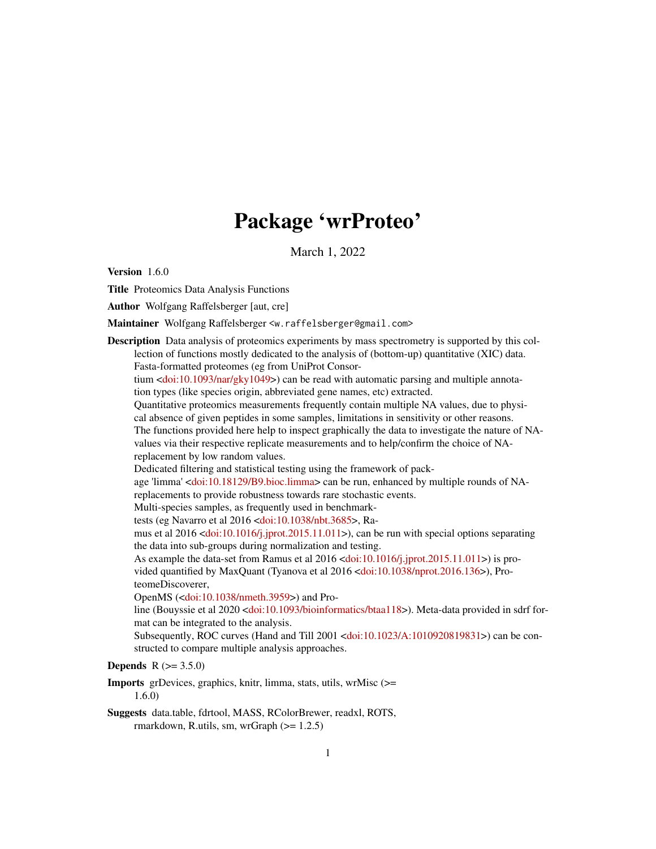# Package 'wrProteo'

March 1, 2022

<span id="page-0-0"></span>Version 1.6.0

Title Proteomics Data Analysis Functions

Author Wolfgang Raffelsberger [aut, cre]

Maintainer Wolfgang Raffelsberger <w.raffelsberger@gmail.com>

Description Data analysis of proteomics experiments by mass spectrometry is supported by this collection of functions mostly dedicated to the analysis of (bottom-up) quantitative (XIC) data. Fasta-formatted proteomes (eg from UniProt Consortium  $\langle \text{doi:10.1093/nar/gky1049>} \rangle$  can be read with automatic parsing and multiple annotation types (like species origin, abbreviated gene names, etc) extracted. Quantitative proteomics measurements frequently contain multiple NA values, due to physical absence of given peptides in some samples, limitations in sensitivity or other reasons. The functions provided here help to inspect graphically the data to investigate the nature of NAvalues via their respective replicate measurements and to help/confirm the choice of NAreplacement by low random values. Dedicated filtering and statistical testing using the framework of package 'limma' [<doi:10.18129/B9.bioc.limma>](https://doi.org/10.18129/B9.bioc.limma) can be run, enhanced by multiple rounds of NAreplacements to provide robustness towards rare stochastic events. Multi-species samples, as frequently used in benchmarktests (eg Navarro et al 2016 [<doi:10.1038/nbt.3685>](https://doi.org/10.1038/nbt.3685), Ramus et al  $2016 \le \text{do}: 10.1016 \div \text{j}.$  jprot.2015.11.011>), can be run with special options separating the data into sub-groups during normalization and testing. As example the data-set from Ramus et al 2016 [<doi:10.1016/j.jprot.2015.11.011>](https://doi.org/10.1016/j.jprot.2015.11.011)) is provided quantified by MaxQuant (Tyanova et al 2016 [<doi:10.1038/nprot.2016.136>](https://doi.org/10.1038/nprot.2016.136)), ProteomeDiscoverer, OpenMS ([<doi:10.1038/nmeth.3959>](https://doi.org/10.1038/nmeth.3959)) and Pro-line (Bouyssie et al 2020 [<doi:10.1093/bioinformatics/btaa118>](https://doi.org/10.1093/bioinformatics/btaa118)). Meta-data provided in sdrf format can be integrated to the analysis. Subsequently, ROC curves (Hand and Till 2001 [<doi:10.1023/A:1010920819831>](https://doi.org/10.1023/A:1010920819831)) can be constructed to compare multiple analysis approaches. **Depends**  $R (= 3.5.0)$ 

Imports grDevices, graphics, knitr, limma, stats, utils, wrMisc (>= 1.6.0)

Suggests data.table, fdrtool, MASS, RColorBrewer, readxl, ROTS, rmarkdown, R.utils, sm, wrGraph  $(>= 1.2.5)$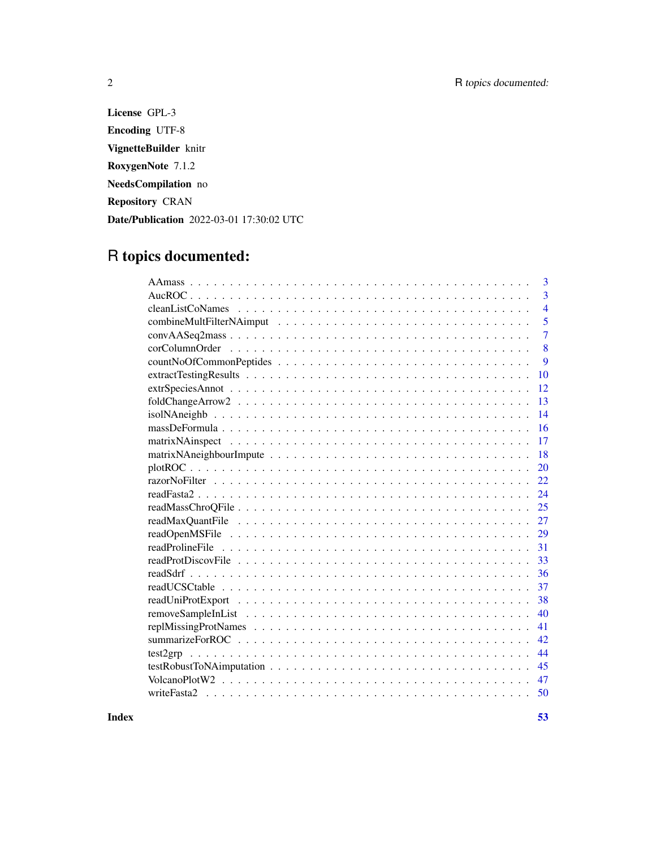License GPL-3 Encoding UTF-8 VignetteBuilder knitr RoxygenNote 7.1.2 NeedsCompilation no Repository CRAN Date/Publication 2022-03-01 17:30:02 UTC

## R topics documented:

| 3                 |
|-------------------|
| 3                 |
| $\overline{4}$    |
| 5                 |
| 7                 |
| 8                 |
| 9                 |
| 10                |
| 12                |
| 13                |
| 14                |
|                   |
| 16                |
| 17                |
| 18                |
| 20                |
| 22                |
| 24                |
| 25                |
| 27                |
| 29                |
| 31                |
| 33                |
| 36                |
| 37                |
| 38                |
| 40                |
| 41                |
| 42                |
| 44<br>$test2$ grp |
| 45                |
| 47                |
| 50                |
|                   |

**Index** [53](#page-52-0)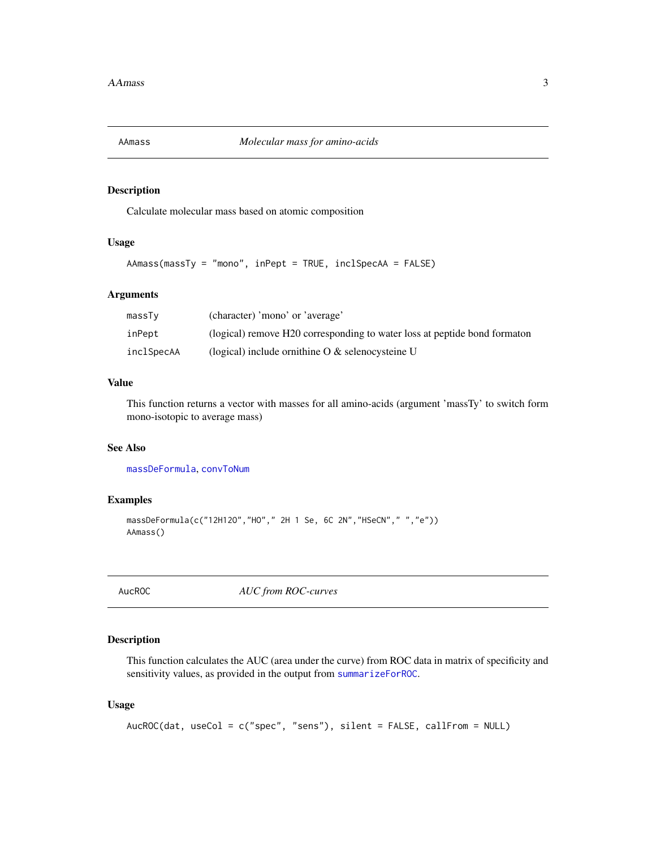<span id="page-2-1"></span><span id="page-2-0"></span>

#### Description

Calculate molecular mass based on atomic composition

#### Usage

AAmass(massTy = "mono", inPept = TRUE, inclSpecAA = FALSE)

#### Arguments

| massTy     | (character) 'mono' or 'average'                                           |
|------------|---------------------------------------------------------------------------|
| inPept     | (logical) remove H20 corresponding to water loss at peptide bond formaton |
| inclSpecAA | (logical) include or ithine $\sigma \&$ selency steine U                  |

#### Value

This function returns a vector with masses for all amino-acids (argument 'massTy' to switch form mono-isotopic to average mass)

#### See Also

[massDeFormula](#page-15-1), [convToNum](#page-0-0)

#### Examples

```
massDeFormula(c("12H12O","HO"," 2H 1 Se, 6C 2N","HSeCN"," ","e"))
AAmass()
```
<span id="page-2-2"></span>AucROC *AUC from ROC-curves*

#### Description

This function calculates the AUC (area under the curve) from ROC data in matrix of specificity and sensitivity values, as provided in the output from [summarizeForROC](#page-41-1).

#### Usage

```
AucROC(dat, useCol = c("spec", "sens"), silent = FALSE, callFrom = NULL)
```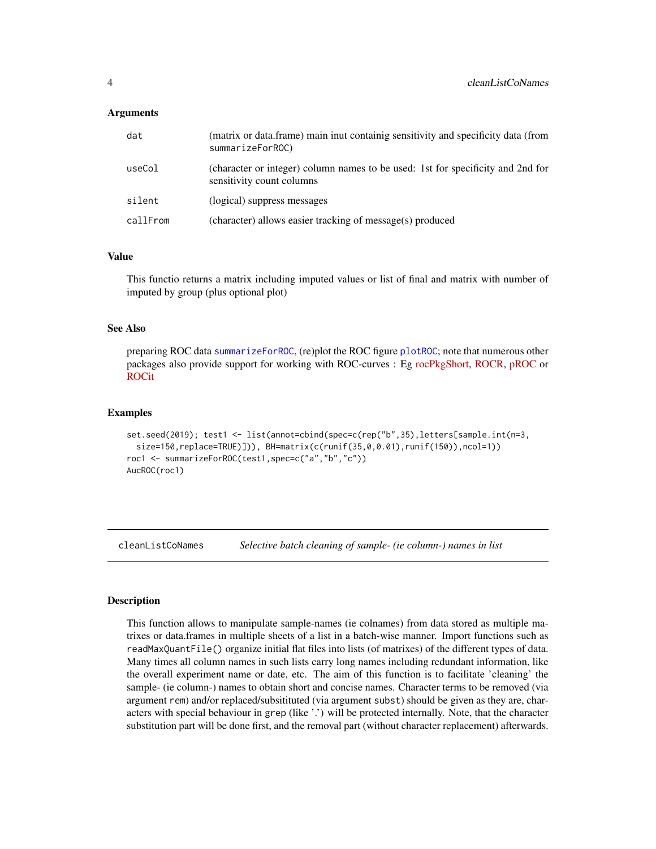#### <span id="page-3-0"></span>Arguments

| dat      | (matrix or data.frame) main inut containig sensitivity and specificity data (from<br>summarizeForROC)        |
|----------|--------------------------------------------------------------------------------------------------------------|
| useCol   | (character or integer) column names to be used: 1st for specificity and 2nd for<br>sensitivity count columns |
| silent   | (logical) suppress messages                                                                                  |
| callFrom | (character) allows easier tracking of message(s) produced                                                    |

#### Value

This functio returns a matrix including imputed values or list of final and matrix with number of imputed by group (plus optional plot)

#### See Also

preparing ROC data [summarizeForROC](#page-41-1), (re)plot the ROC figure [plotROC](#page-19-1); note that numerous other packages also provide support for working with ROC-curves : Eg [rocPkgShort,](https://CRAN.R-project.org/package=dlstats) [ROCR,](https://CRAN.R-project.org/package=ROCR) [pROC](https://CRAN.R-project.org/package=pROC) or [ROCit](https://CRAN.R-project.org/package=ROCit)

#### Examples

```
set.seed(2019); test1 <- list(annot=cbind(spec=c(rep("b",35),letters[sample.int(n=3,
  size=150,replace=TRUE)])), BH=matrix(c(runif(35,0,0.01),runif(150)),ncol=1))
roc1 <- summarizeForROC(test1,spec=c("a","b","c"))
AucROC(roc1)
```
cleanListCoNames *Selective batch cleaning of sample- (ie column-) names in list*

#### **Description**

This function allows to manipulate sample-names (ie colnames) from data stored as multiple matrixes or data.frames in multiple sheets of a list in a batch-wise manner. Import functions such as readMaxQuantFile() organize initial flat files into lists (of matrixes) of the different types of data. Many times all column names in such lists carry long names including redundant information, like the overall experiment name or date, etc. The aim of this function is to facilitate 'cleaning' the sample- (ie column-) names to obtain short and concise names. Character terms to be removed (via argument rem) and/or replaced/subsitituted (via argument subst) should be given as they are, characters with special behaviour in grep (like '.') will be protected internally. Note, that the character substitution part will be done first, and the removal part (without character replacement) afterwards.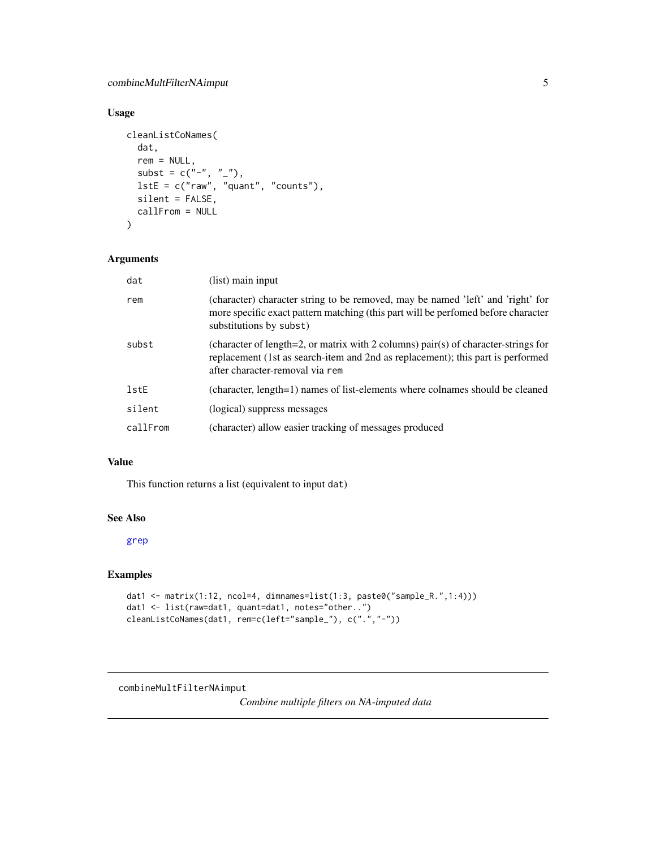#### <span id="page-4-0"></span>Usage

```
cleanListCoNames(
 dat,
 rem = NULL,subst = c("-", " -"),
 lstE = c("raw", "quant", "counts"),silent = FALSE,
 callFrom = NULL
)
```
#### Arguments

| dat      | (list) main input                                                                                                                                                                                        |
|----------|----------------------------------------------------------------------------------------------------------------------------------------------------------------------------------------------------------|
| rem      | (character) character string to be removed, may be named 'left' and 'right' for<br>more specific exact pattern matching (this part will be performed before character<br>substitutions by subst)         |
| subst    | (character of length=2, or matrix with 2 columns) pair(s) of character-strings for<br>replacement (1st as search-item and 2nd as replacement); this part is performed<br>after character-removal via rem |
| lstE     | (character, length=1) names of list-elements where colnames should be cleaned                                                                                                                            |
| silent   | (logical) suppress messages                                                                                                                                                                              |
| callFrom | (character) allow easier tracking of messages produced                                                                                                                                                   |

#### Value

This function returns a list (equivalent to input dat)

#### See Also

[grep](#page-0-0)

#### Examples

```
dat1 <- matrix(1:12, ncol=4, dimnames=list(1:3, paste0("sample_R.",1:4)))
dat1 <- list(raw=dat1, quant=dat1, notes="other..")
cleanListCoNames(dat1, rem=c(left="sample_"), c(".","-"))
```

```
combineMultFilterNAimput
```
*Combine multiple filters on NA-imputed data*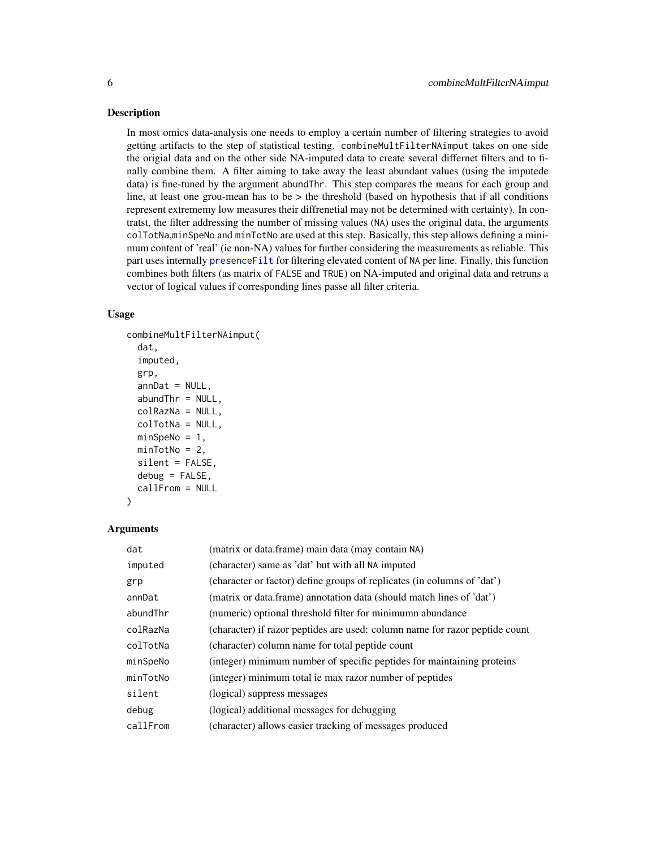#### <span id="page-5-0"></span>**Description**

In most omics data-analysis one needs to employ a certain number of filtering strategies to avoid getting artifacts to the step of statistical testing. combineMultFilterNAimput takes on one side the origial data and on the other side NA-imputed data to create several differnet filters and to finally combine them. A filter aiming to take away the least abundant values (using the imputede data) is fine-tuned by the argument abundThr. This step compares the means for each group and line, at least one grou-mean has to be  $>$  the threshold (based on hypothesis that if all conditions represent extrememy low measures their diffrenetial may not be determined with certainty). In contratst, the filter addressing the number of missing values (NA) uses the original data, the arguments colTotNa,minSpeNo and minTotNo are used at this step. Basically, this step allows defining a minimum content of 'real' (ie non-NA) values for further considering the measurements as reliable. This part uses internally [presenceFilt](#page-0-0) for filtering elevated content of NA per line. Finally, this function combines both filters (as matrix of FALSE and TRUE) on NA-imputed and original data and retruns a vector of logical values if corresponding lines passe all filter criteria.

#### Usage

```
combineMultFilterNAimput(
 dat,
  imputed,
  grp,
  annabundThr = NULL,colRazNa = NULL,
  colTotNa = NULL,
 minSpeNo = 1,minTotNo = 2,
  silent = FALSE,
  debug = FALSE,callFrom = NULL
)
```

| dat      | (matrix or data.frame) main data (may contain NA)                           |
|----------|-----------------------------------------------------------------------------|
| imputed  | (character) same as 'dat' but with all NA imputed                           |
| grp      | (character or factor) define groups of replicates (in columns of 'dat')     |
| annDat   | (matrix or data.frame) annotation data (should match lines of 'dat')        |
| abundThr | (numeric) optional threshold filter for minimumn abundance                  |
| colRazNa | (character) if razor peptides are used: column name for razor peptide count |
| colTotNa | (character) column name for total peptide count                             |
| minSpeNo | (integer) minimum number of specific peptides for maintaining proteins      |
| minTotNo | (integer) minimum total ie max razor number of peptides                     |
| silent   | (logical) suppress messages                                                 |
| debug    | (logical) additional messages for debugging                                 |
| callFrom | (character) allows easier tracking of messages produced                     |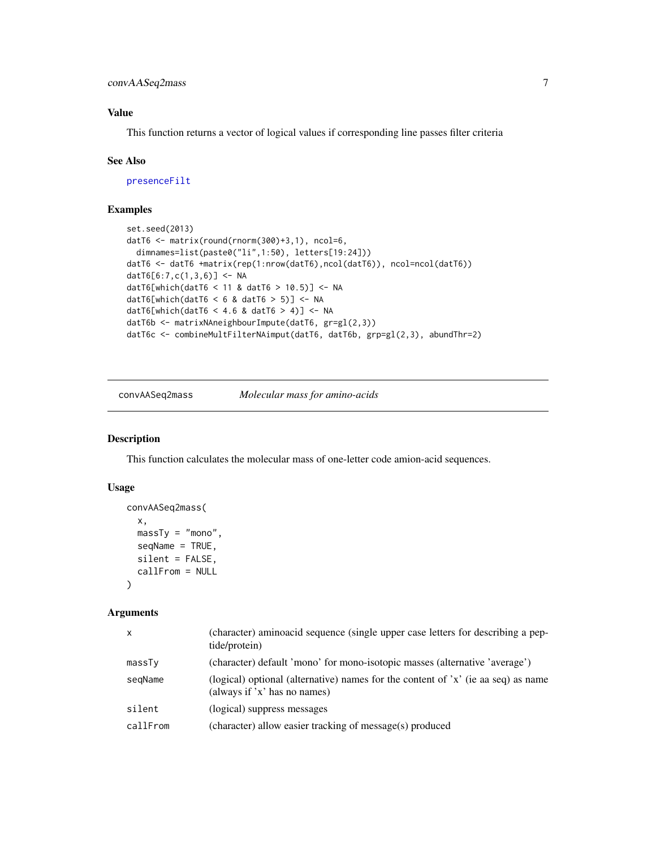<span id="page-6-0"></span>convAASeq2mass 7

#### Value

This function returns a vector of logical values if corresponding line passes filter criteria

#### See Also

[presenceFilt](#page-0-0)

#### Examples

```
set.seed(2013)
datT6 <- matrix(round(rnorm(300)+3,1), ncol=6,
  dimnames=list(paste0("li",1:50), letters[19:24]))
datT6 <- datT6 +matrix(rep(1:nrow(datT6),ncol(datT6)), ncol=ncol(datT6))
datT6[6:7,c(1,3,6)] <- NA
datT6[which(datT6 < 11 & datT6 > 10.5)] <- NA
datT6[which(datT6 < 6 & datT6 > 5)] <- NA
datT6[which(datT6 < 4.6 & datT6 > 4)] <- NA
datT6b <- matrixNAneighbourImpute(datT6, gr=gl(2,3))
datT6c <- combineMultFilterNAimput(datT6, datT6b, grp=gl(2,3), abundThr=2)
```
convAASeq2mass *Molecular mass for amino-acids*

#### Description

This function calculates the molecular mass of one-letter code amion-acid sequences.

#### Usage

```
convAASeq2mass(
  x,
  massTy = "mono",seqName = TRUE,
  silent = FALSE,
  callFrom = NULL
)
```

| $\mathsf{x}$ | (character) aminoacid sequence (single upper case letters for describing a pep-<br>tide/protein)                   |
|--------------|--------------------------------------------------------------------------------------------------------------------|
| massTy       | (character) default 'mono' for mono-isotopic masses (alternative 'average')                                        |
| segName      | (logical) optional (alternative) names for the content of $x'$ (ie aa seq) as name<br>(always if 'x' has no names) |
| silent       | (logical) suppress messages                                                                                        |
| callFrom     | (character) allow easier tracking of message(s) produced                                                           |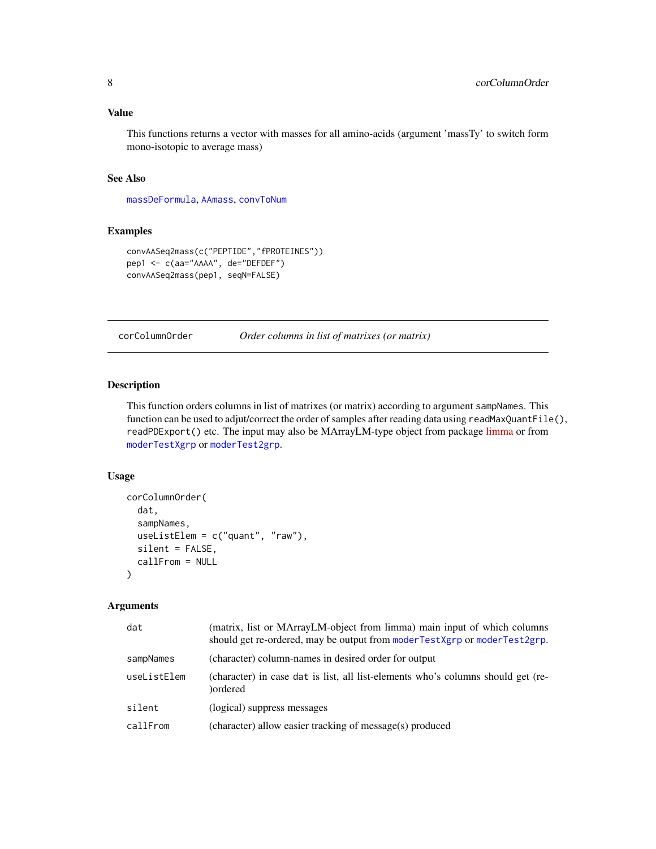#### <span id="page-7-0"></span>Value

This functions returns a vector with masses for all amino-acids (argument 'massTy' to switch form mono-isotopic to average mass)

#### See Also

[massDeFormula](#page-15-1), [AAmass](#page-2-1), [convToNum](#page-0-0)

#### Examples

```
convAASeq2mass(c("PEPTIDE","fPROTEINES"))
pep1 <- c(aa="AAAA", de="DEFDEF")
convAASeq2mass(pep1, seqN=FALSE)
```
corColumnOrder *Order columns in list of matrixes (or matrix)*

#### Description

This function orders columns in list of matrixes (or matrix) according to argument sampNames. This function can be used to adjut/correct the order of samples after reading data using readMaxQuantFile(), readPDExport() etc. The input may also be MArrayLM-type object from package [limma](https://bioconductor.org/packages/release/bioc/html/limma.html) or from [moderTestXgrp](#page-0-0) or [moderTest2grp](#page-0-0).

#### Usage

```
corColumnOrder(
  dat,
  sampNames,
  useListElem = c("quant", "raw"),
  silent = FALSE,
  callFrom = NULL
)
```

| dat         | (matrix, list or MArrayLM-object from limma) main input of which columns<br>should get re-ordered, may be output from moderTestXgrp or moderTest2grp. |
|-------------|-------------------------------------------------------------------------------------------------------------------------------------------------------|
| sampNames   | (character) column-names in desired order for output                                                                                                  |
| useListElem | (character) in case dat is list, all list-elements who's columns should get (re-<br>)ordered                                                          |
| silent      | (logical) suppress messages                                                                                                                           |
| callFrom    | (character) allow easier tracking of message(s) produced                                                                                              |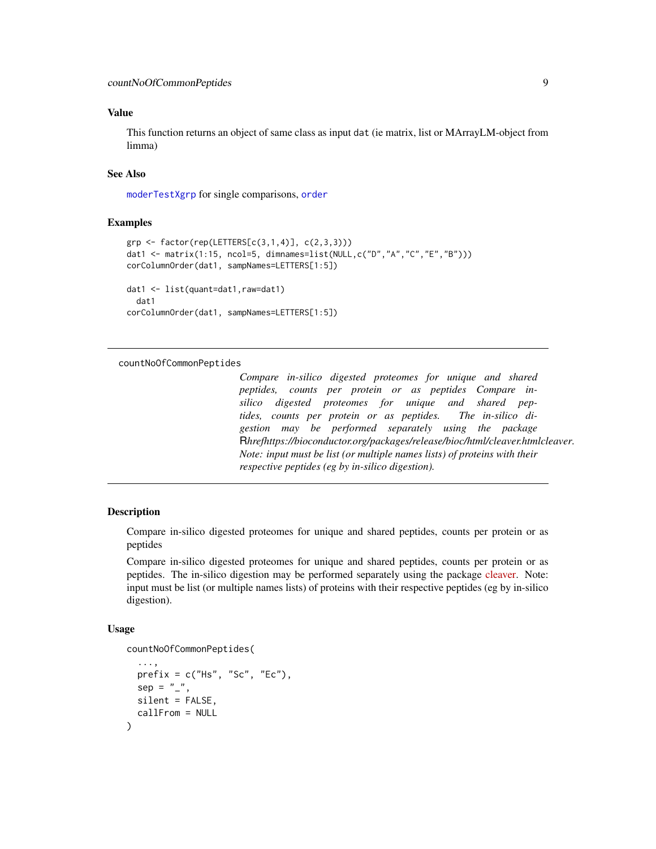#### <span id="page-8-0"></span>Value

This function returns an object of same class as input dat (ie matrix, list or MArrayLM-object from limma)

#### See Also

[moderTestXgrp](#page-0-0) for single comparisons, [order](#page-0-0)

#### Examples

```
grp <- factor(rep(LETTERS[c(3,1,4)], c(2,3,3)))
dat1 <- matrix(1:15, ncol=5, dimnames=list(NULL,c("D","A","C","E","B")))
corColumnOrder(dat1, sampNames=LETTERS[1:5])
dat1 <- list(quant=dat1,raw=dat1)
 dat1
corColumnOrder(dat1, sampNames=LETTERS[1:5])
```
#### countNoOfCommonPeptides

*Compare in-silico digested proteomes for unique and shared peptides, counts per protein or as peptides Compare insilico digested proteomes for unique and shared peptides, counts per protein or as peptides. The in-silico digestion may be performed separately using the package* R*hrefhttps://bioconductor.org/packages/release/bioc/html/cleaver.htmlcleaver. Note: input must be list (or multiple names lists) of proteins with their respective peptides (eg by in-silico digestion).*

#### Description

Compare in-silico digested proteomes for unique and shared peptides, counts per protein or as peptides

Compare in-silico digested proteomes for unique and shared peptides, counts per protein or as peptides. The in-silico digestion may be performed separately using the package [cleaver.](https://bioconductor.org/packages/release/bioc/html/cleaver.html) Note: input must be list (or multiple names lists) of proteins with their respective peptides (eg by in-silico digestion).

#### Usage

)

```
countNoOfCommonPeptides(
```

```
...,
prefix = c("Hs", "Sc", "Ec"),
sep = "''_",silent = FALSE,
callFrom = NULL
```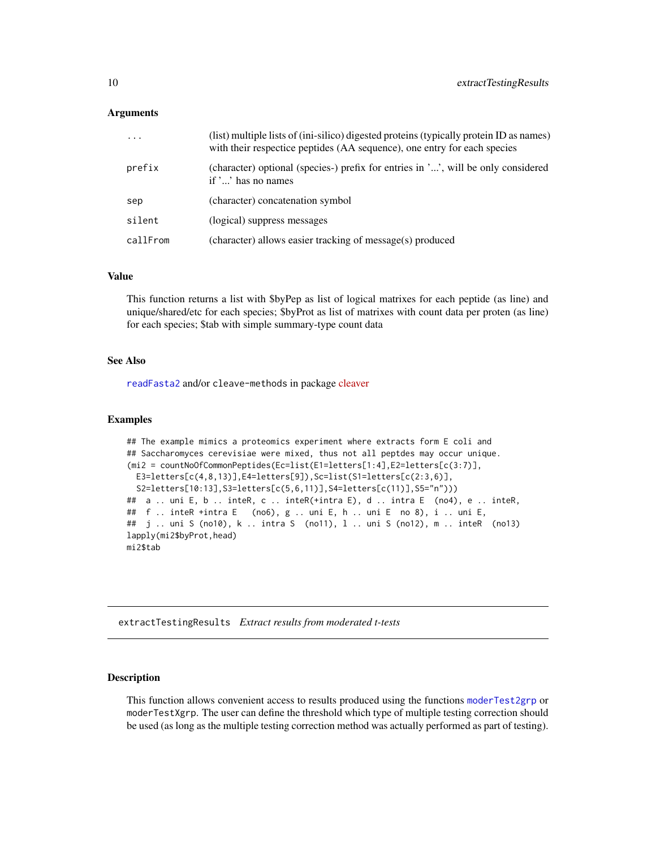#### <span id="page-9-0"></span>Arguments

| $\ddotsc$ | (list) multiple lists of (ini-silico) digested proteins (typically protein ID as names)<br>with their respectice peptides (AA sequence), one entry for each species |
|-----------|---------------------------------------------------------------------------------------------------------------------------------------------------------------------|
| prefix    | (character) optional (species-) prefix for entries in '', will be only considered<br>if $\ldots$ has no names                                                       |
| sep       | (character) concatenation symbol                                                                                                                                    |
| silent    | (logical) suppress messages                                                                                                                                         |
| callFrom  | (character) allows easier tracking of message(s) produced                                                                                                           |

#### Value

This function returns a list with \$byPep as list of logical matrixes for each peptide (as line) and unique/shared/etc for each species; \$byProt as list of matrixes with count data per proten (as line) for each species; \$tab with simple summary-type count data

#### See Also

[readFasta2](#page-23-1) and/or cleave-methods in package [cleaver](https://bioconductor.org/packages/release/bioc/html/cleaver.html)

#### Examples

```
## The example mimics a proteomics experiment where extracts form E coli and
## Saccharomyces cerevisiae were mixed, thus not all peptdes may occur unique.
(mi2 = countNoOfCommonPeptides(Ec=list(E1=letters[1:4],E2=letters[c(3:7)],
 E3=letters[c(4,8,13)], E4=letters[9]), Sc=list(51=letters[c(2:3,6)],S2=letters[10:13],S3=letters[c(5,6,11)],S4=letters[c(11)],S5="n")))
## a .. uni E, b .. inteR, c .. inteR(+intra E), d .. intra E (no4), e .. inteR,
## f .. inteR +intra E (no6), g .. uni E, h .. uni E no 8), i .. uni E,
## j .. uni S (no10), k .. intra S (no11), l .. uni S (no12), m .. inteR (no13)
lapply(mi2$byProt,head)
mi2$tab
```
extractTestingResults *Extract results from moderated t-tests*

#### Description

This function allows convenient access to results produced using the functions [moderTest2grp](#page-0-0) or moderTestXgrp. The user can define the threshold which type of multiple testing correction should be used (as long as the multiple testing correction method was actually performed as part of testing).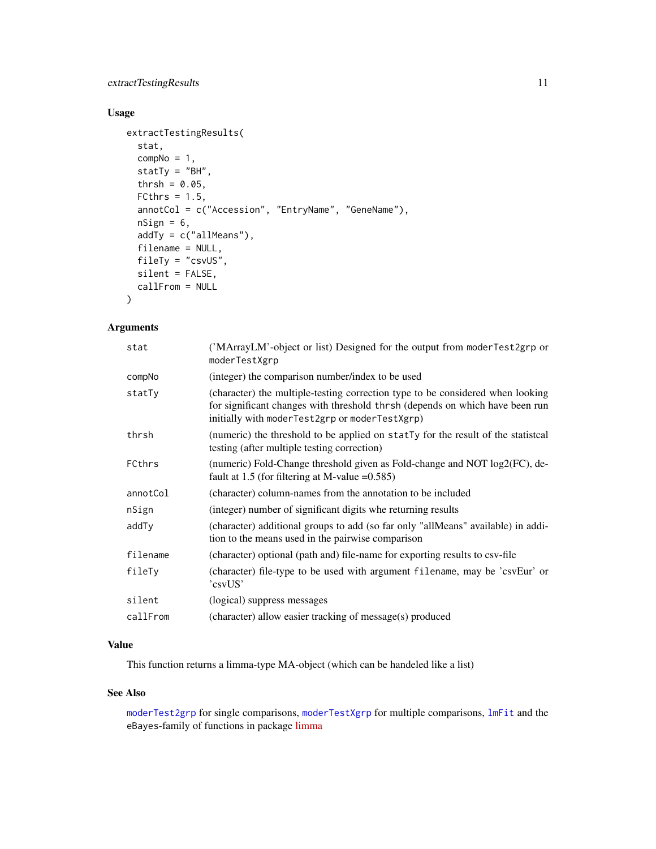#### <span id="page-10-0"></span>extractTestingResults 11

#### Usage

```
extractTestingResults(
 stat,
 compNo = 1,statTy = "BH",thrsh = 0.05,
 FCthrs = 1.5,
  annotCol = c("Accession", "EntryName", "GeneName"),
 nSign = 6,
 addTy = c("allMeans"),
 filename = NULL,
 fileTy = "csvUS",
 silent = FALSE,
 callFrom = NULL
)
```
#### Arguments

| stat     | ('MArrayLM'-object or list) Designed for the output from moderTest2grp or<br>moderTestXgrp                                                                                                                       |
|----------|------------------------------------------------------------------------------------------------------------------------------------------------------------------------------------------------------------------|
| compNo   | (integer) the comparison number/index to be used                                                                                                                                                                 |
| statTy   | (character) the multiple-testing correction type to be considered when looking<br>for significant changes with threshold thrsh (depends on which have been run<br>initially with moderTest2grp or moderTestXgrp) |
| thrsh    | (numeric) the threshold to be applied on statTy for the result of the statistical<br>testing (after multiple testing correction)                                                                                 |
| FCthrs   | (numeric) Fold-Change threshold given as Fold-change and NOT log2(FC), de-<br>fault at 1.5 (for filtering at M-value $=0.585$ )                                                                                  |
| annotCol | (character) column-names from the annotation to be included                                                                                                                                                      |
| nSign    | (integer) number of significant digits whe returning results                                                                                                                                                     |
| addTy    | (character) additional groups to add (so far only "allMeans" available) in addi-<br>tion to the means used in the pairwise comparison                                                                            |
| filename | (character) optional (path and) file-name for exporting results to csv-file                                                                                                                                      |
| fileTy   | (character) file-type to be used with argument filename, may be 'csvEur' or<br>'csyUS'                                                                                                                           |
| silent   | (logical) suppress messages                                                                                                                                                                                      |
| callFrom | (character) allow easier tracking of message(s) produced                                                                                                                                                         |

#### Value

This function returns a limma-type MA-object (which can be handeled like a list)

#### See Also

[moderTest2grp](#page-0-0) for single comparisons, [moderTestXgrp](#page-0-0) for multiple comparisons, [lmFit](#page-0-0) and the eBayes-family of functions in package [limma](https://bioconductor.org/packages/release/bioc/html/limma.html)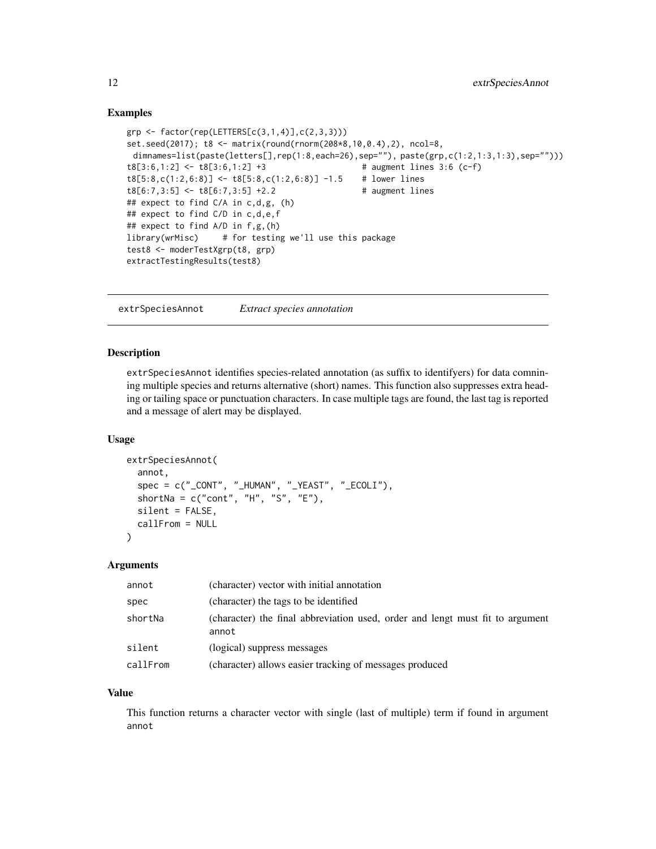#### <span id="page-11-0"></span>Examples

```
grp <- factor(rep(LETTERS[c(3,1,4)],c(2,3,3)))
set.seed(2017); t8 <- matrix(round(rnorm(208*8,10,0.4),2), ncol=8,
dimnames=list(paste(letters[],rep(1:8,each=26),sep=""), paste(grp,c(1:2,1:3,1:3),sep="")))
t8[3:6,1:2] < -t8[3:6,1:2] +3 # augment lines 3:6 (c-f)
t8[5:8,c(1:2,6:8)] <- t8[5:8,c(1:2,6:8)] -1.5 # lower lines
t8[6:7,3:5] < t8[6:7,3:5] +2.2 # augment lines
## expect to find C/A in c,d,g, (h)
## expect to find C/D in c,d,e,f
## expect to find A/D in f,g,(h)
library(wrMisc) # for testing we'll use this package
test8 <- moderTestXgrp(t8, grp)
extractTestingResults(test8)
```
extrSpeciesAnnot *Extract species annotation*

#### Description

extrSpeciesAnnot identifies species-related annotation (as suffix to identifyers) for data comnining multiple species and returns alternative (short) names. This function also suppresses extra heading or tailing space or punctuation characters. In case multiple tags are found, the last tag is reported and a message of alert may be displayed.

#### Usage

```
extrSpeciesAnnot(
  annot,
  spec = c("CONT", "HUMAN", "YEAST", "ECOLI"),shortNa = c("cont", "H", "S", "E"),silent = FALSE,
 callFrom = NULL
)
```
#### Arguments

| annot    | (character) vector with initial annotation                                             |
|----------|----------------------------------------------------------------------------------------|
| spec     | (character) the tags to be identified                                                  |
| shortNa  | (character) the final abbreviation used, order and lengt must fit to argument<br>annot |
| silent   | (logical) suppress messages                                                            |
| callFrom | (character) allows easier tracking of messages produced                                |

#### Value

This function returns a character vector with single (last of multiple) term if found in argument annot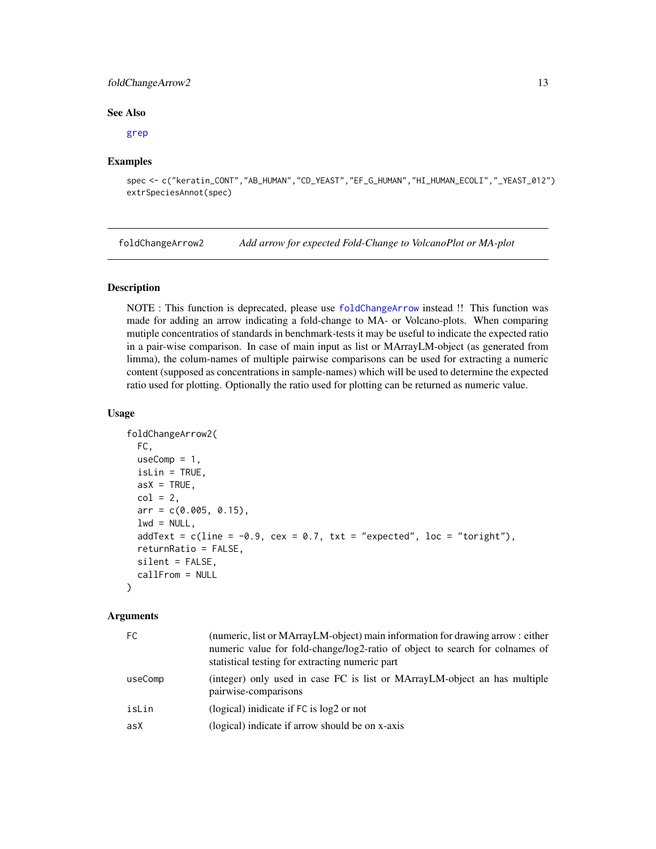#### <span id="page-12-0"></span>foldChangeArrow2 13

#### See Also

#### [grep](#page-0-0)

#### Examples

```
spec <- c("keratin_CONT","AB_HUMAN","CD_YEAST","EF_G_HUMAN","HI_HUMAN_ECOLI","_YEAST_012")
extrSpeciesAnnot(spec)
```
foldChangeArrow2 *Add arrow for expected Fold-Change to VolcanoPlot or MA-plot*

#### Description

NOTE : This function is deprecated, please use [foldChangeArrow](#page-0-0) instead !! This function was made for adding an arrow indicating a fold-change to MA- or Volcano-plots. When comparing mutiple concentratios of standards in benchmark-tests it may be useful to indicate the expected ratio in a pair-wise comparison. In case of main input as list or MArrayLM-object (as generated from limma), the colum-names of multiple pairwise comparisons can be used for extracting a numeric content (supposed as concentrations in sample-names) which will be used to determine the expected ratio used for plotting. Optionally the ratio used for plotting can be returned as numeric value.

#### Usage

```
foldChangeArrow2(
  FC,
 useComp = 1,
  isLin = TRUE,
  asX = TRUE,col = 2,
  arr = c(0.005, 0.15),
  lwd = NULL,addText = c(line = -0.9, cex = 0.7, txt = "expected", loc = "toright"),returnRatio = FALSE,
  silent = FALSE,
  callFrom = NULL
)
```

| (numeric, list or MArrayLM-object) main information for drawing arrow : either<br>numeric value for fold-change/log2-ratio of object to search for colnames of<br>statistical testing for extracting numeric part |
|-------------------------------------------------------------------------------------------------------------------------------------------------------------------------------------------------------------------|
| (integer) only used in case FC is list or MArrayLM-object an has multiple<br>pairwise-comparisons                                                                                                                 |
| (logical) inidicate if $FC$ is $log2$ or not                                                                                                                                                                      |
| (logical) indicate if arrow should be on x-axis                                                                                                                                                                   |
|                                                                                                                                                                                                                   |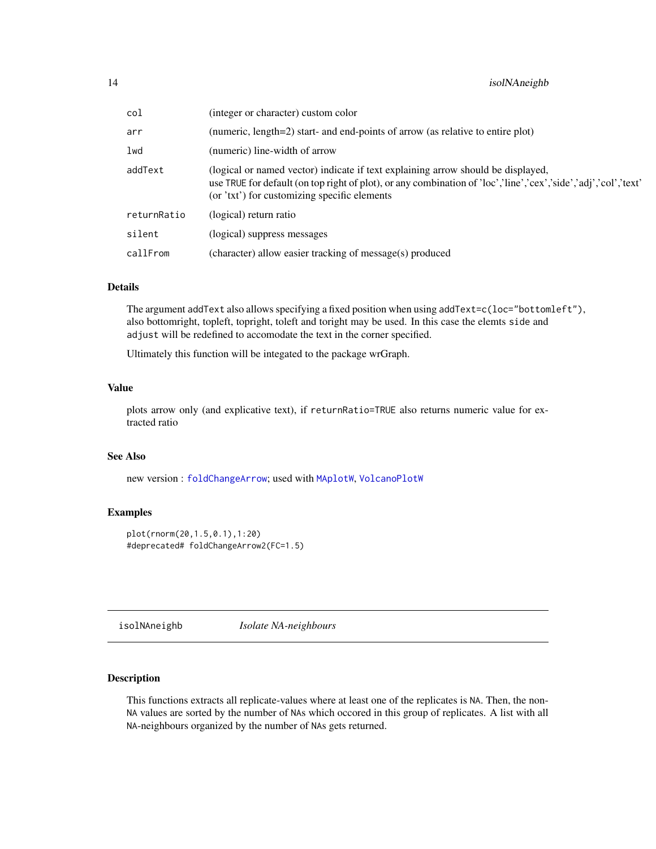<span id="page-13-0"></span>

| col         | (integer or character) custom color                                                                                                                                                                                                                 |
|-------------|-----------------------------------------------------------------------------------------------------------------------------------------------------------------------------------------------------------------------------------------------------|
| arr         | (numeric, length=2) start- and end-points of arrow (as relative to entire plot)                                                                                                                                                                     |
| lwd         | (numeric) line-width of arrow                                                                                                                                                                                                                       |
| addText     | (logical or named vector) indicate if text explaining arrow should be displayed,<br>use TRUE for default (on top right of plot), or any combination of 'loc','line','cex','side','adj','col','text'<br>(or 'txt') for customizing specific elements |
| returnRatio | (logical) return ratio                                                                                                                                                                                                                              |
| silent      | (logical) suppress messages                                                                                                                                                                                                                         |
| callFrom    | (character) allow easier tracking of message(s) produced                                                                                                                                                                                            |

#### Details

The argument addText also allows specifying a fixed position when using addText=c(loc="bottomleft"), also bottomright, topleft, topright, toleft and toright may be used. In this case the elemts side and adjust will be redefined to accomodate the text in the corner specified.

Ultimately this function will be integated to the package wrGraph.

#### Value

plots arrow only (and explicative text), if returnRatio=TRUE also returns numeric value for extracted ratio

#### See Also

new version : [foldChangeArrow](#page-0-0); used with [MAplotW](#page-0-0), [VolcanoPlotW](#page-0-0)

#### Examples

```
plot(rnorm(20,1.5,0.1),1:20)
#deprecated# foldChangeArrow2(FC=1.5)
```
isolNAneighb *Isolate NA-neighbours*

#### Description

This functions extracts all replicate-values where at least one of the replicates is NA. Then, the non-NA values are sorted by the number of NAs which occored in this group of replicates. A list with all NA-neighbours organized by the number of NAs gets returned.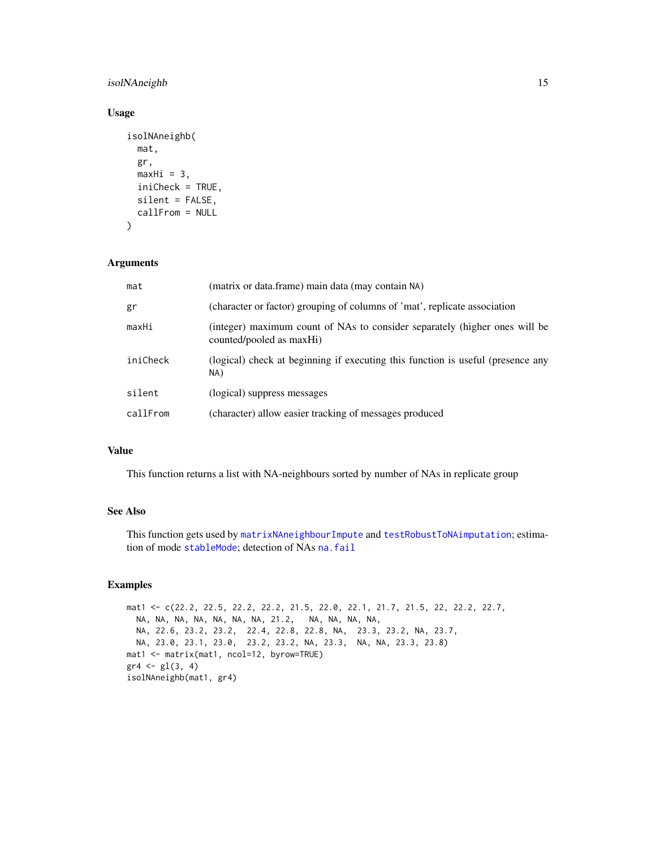#### <span id="page-14-0"></span>isolNAneighb 15

#### Usage

```
isolNAneighb(
 mat,
  gr,
 maxHi = 3,
  iniCheck = TRUE,
  silent = FALSE,
 callFrom = NULL
\lambda
```
#### Arguments

| mat      | (matrix or data.frame) main data (may contain NA)                                                      |
|----------|--------------------------------------------------------------------------------------------------------|
| gr       | (character or factor) grouping of columns of 'mat', replicate association                              |
| maxHi    | (integer) maximum count of NAs to consider separately (higher ones will be<br>counted/pooled as maxHi) |
| iniCheck | (logical) check at beginning if executing this function is useful (presence any<br>NA)                 |
| silent   | (logical) suppress messages                                                                            |
| callFrom | (character) allow easier tracking of messages produced                                                 |

#### Value

This function returns a list with NA-neighbours sorted by number of NAs in replicate group

#### See Also

This function gets used by [matrixNAneighbourImpute](#page-17-1) and [testRobustToNAimputation](#page-44-1); estimation of mode [stableMode](#page-0-0); detection of NAs [na.fail](#page-0-0)

#### Examples

```
mat1 <- c(22.2, 22.5, 22.2, 22.2, 21.5, 22.0, 22.1, 21.7, 21.5, 22, 22.2, 22.7,
  NA, NA, NA, NA, NA, NA, NA, 21.2, NA, NA, NA, NA,
  NA, 22.6, 23.2, 23.2, 22.4, 22.8, 22.8, NA, 23.3, 23.2, NA, 23.7,
  NA, 23.0, 23.1, 23.0, 23.2, 23.2, NA, 23.3, NA, NA, 23.3, 23.8)
mat1 <- matrix(mat1, ncol=12, byrow=TRUE)
gr4 \leftarrow gl(3, 4)isolNAneighb(mat1, gr4)
```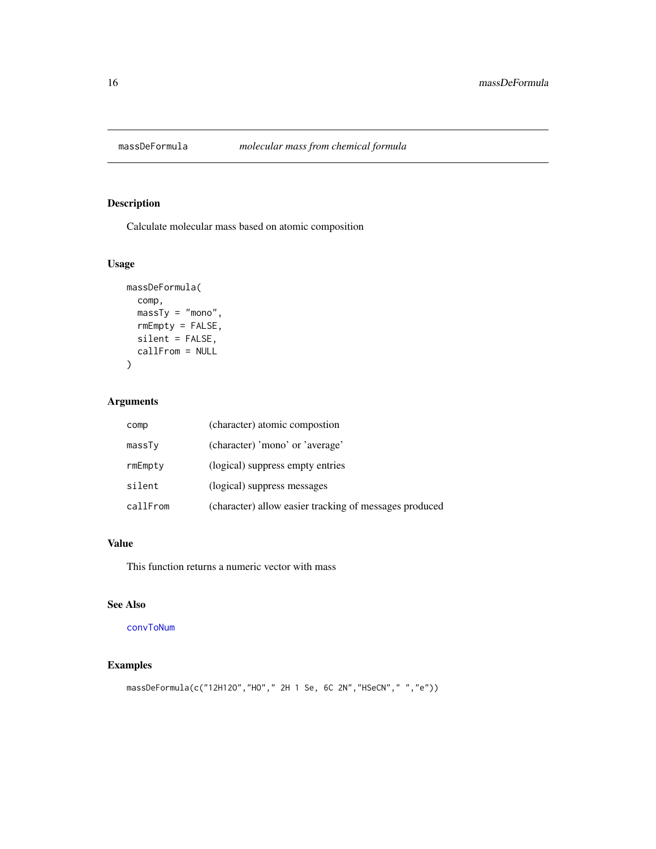<span id="page-15-1"></span><span id="page-15-0"></span>

#### Description

Calculate molecular mass based on atomic composition

#### Usage

```
massDeFormula(
  comp,
  massTy = "mono",
  rmEmpty = FALSE,
  silent = FALSE,
  callFrom = NULL
)
```
### Arguments

| comp     | (character) atomic compostion                          |
|----------|--------------------------------------------------------|
| massTy   | (character) 'mono' or 'average'                        |
| rmEmpty  | (logical) suppress empty entries                       |
| silent   | (logical) suppress messages                            |
| callFrom | (character) allow easier tracking of messages produced |

#### Value

This function returns a numeric vector with mass

#### See Also

[convToNum](#page-0-0)

#### Examples

```
massDeFormula(c("12H12O","HO"," 2H 1 Se, 6C 2N","HSeCN"," ","e"))
```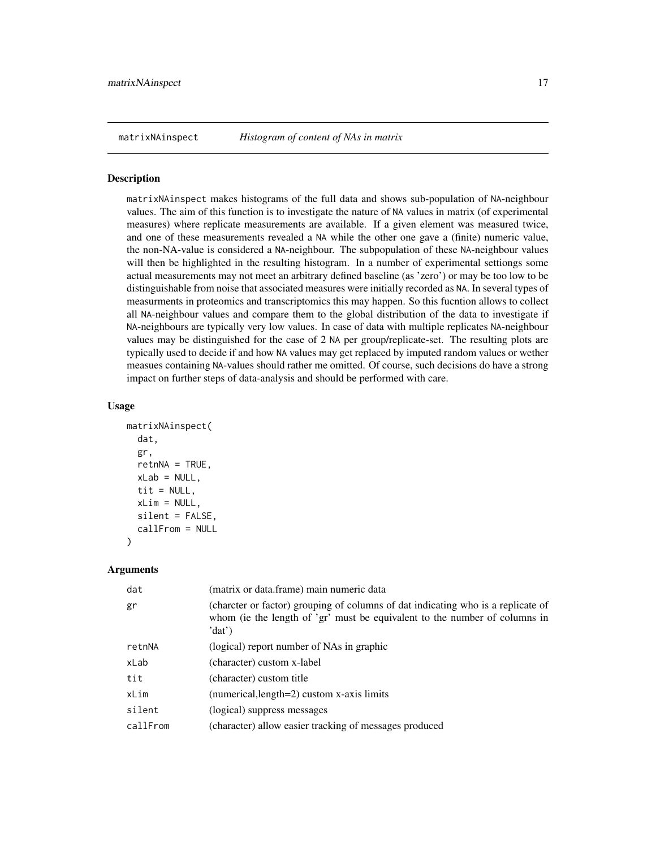<span id="page-16-0"></span>matrixNAinspect *Histogram of content of NAs in matrix*

#### Description

matrixNAinspect makes histograms of the full data and shows sub-population of NA-neighbour values. The aim of this function is to investigate the nature of NA values in matrix (of experimental measures) where replicate measurements are available. If a given element was measured twice, and one of these measurements revealed a NA while the other one gave a (finite) numeric value, the non-NA-value is considered a NA-neighbour. The subpopulation of these NA-neighbour values will then be highlighted in the resulting histogram. In a number of experimental settiongs some actual measurements may not meet an arbitrary defined baseline (as 'zero') or may be too low to be distinguishable from noise that associated measures were initially recorded as NA. In several types of measurments in proteomics and transcriptomics this may happen. So this fucntion allows to collect all NA-neighbour values and compare them to the global distribution of the data to investigate if NA-neighbours are typically very low values. In case of data with multiple replicates NA-neighbour values may be distinguished for the case of 2 NA per group/replicate-set. The resulting plots are typically used to decide if and how NA values may get replaced by imputed random values or wether measues containing NA-values should rather me omitted. Of course, such decisions do have a strong impact on further steps of data-analysis and should be performed with care.

#### Usage

```
matrixNAinspect(
  dat,
  gr,
  retnNA = TRUE,xLab = NULL,tit = NULL,xLim = NULL,silent = FALSE,
  callFrom = NULL
)
```

| (matrix or data.frame) main numeric data                                                                                                                                 |
|--------------------------------------------------------------------------------------------------------------------------------------------------------------------------|
| (charcter or factor) grouping of columns of dat indicating who is a replicate of<br>whom (ie the length of 'gr' must be equivalent to the number of columns in<br>'dat') |
| (logical) report number of NAs in graphic                                                                                                                                |
| (character) custom x-label                                                                                                                                               |
| (character) custom title                                                                                                                                                 |
| (numerical, length=2) custom x-axis limits                                                                                                                               |
| (logical) suppress messages                                                                                                                                              |
| (character) allow easier tracking of messages produced                                                                                                                   |
|                                                                                                                                                                          |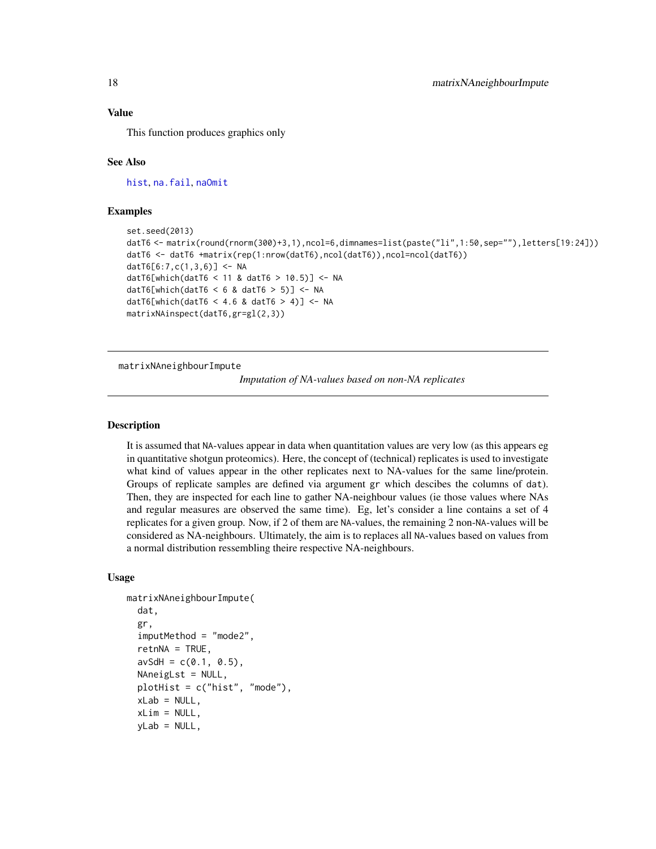#### <span id="page-17-0"></span>Value

This function produces graphics only

#### See Also

[hist](#page-0-0), [na.fail](#page-0-0), [naOmit](#page-0-0)

#### Examples

```
set.seed(2013)
datT6 <- matrix(round(rnorm(300)+3,1),ncol=6,dimnames=list(paste("li",1:50,sep=""),letters[19:24]))
datT6 <- datT6 +matrix(rep(1:nrow(datT6),ncol(datT6)),ncol=ncol(datT6))
datT6[6:7,c(1,3,6)] <- NA
datT6[which(datT6 < 11 & datT6 > 10.5)] <- NA
datT6[which(datT6 < 6 & datT6 > 5)] <- NA
datT6[which(datT6 < 4.6 & datT6 > 4)] <- NA
matrixNAinspect(datT6,gr=gl(2,3))
```
<span id="page-17-1"></span>matrixNAneighbourImpute

*Imputation of NA-values based on non-NA replicates*

#### **Description**

It is assumed that NA-values appear in data when quantitation values are very low (as this appears eg in quantitative shotgun proteomics). Here, the concept of (technical) replicates is used to investigate what kind of values appear in the other replicates next to NA-values for the same line/protein. Groups of replicate samples are defined via argument gr which descibes the columns of dat). Then, they are inspected for each line to gather NA-neighbour values (ie those values where NAs and regular measures are observed the same time). Eg, let's consider a line contains a set of 4 replicates for a given group. Now, if 2 of them are NA-values, the remaining 2 non-NA-values will be considered as NA-neighbours. Ultimately, the aim is to replaces all NA-values based on values from a normal distribution ressembling theire respective NA-neighbours.

#### Usage

```
matrixNAneighbourImpute(
  dat,
  gr,
  imputMethod = "mode2",
  return <math>A = TRUE</math>,avSdH = c(0.1, 0.5),
  NAneigLst = NULL,
  plotHist = c("hist", "mode"),
  xLab = NULL,xLim = NULL,yLab = NULL,
```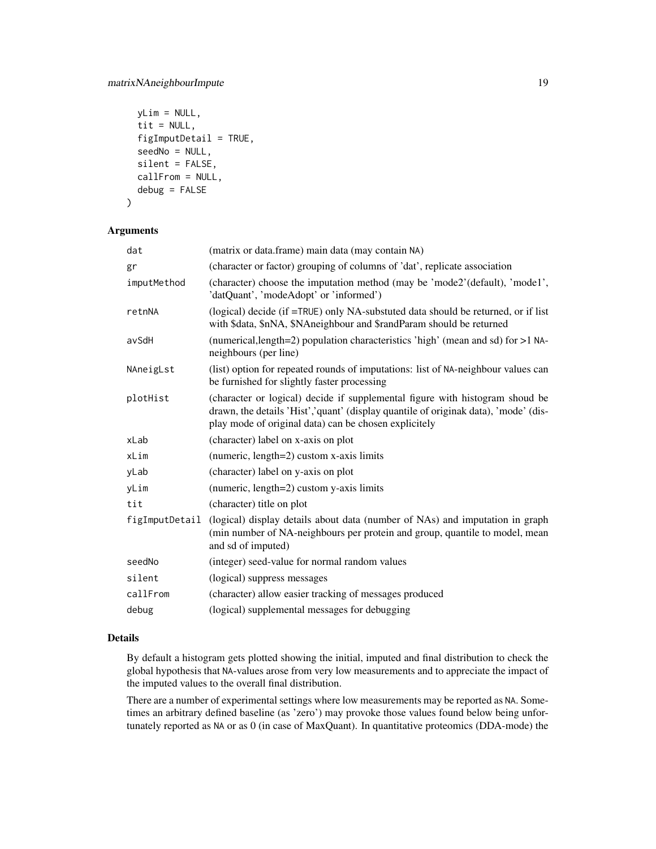```
yLim = NULL,
  tit = NULL,
  figImputDetail = TRUE,seedNo = NULL,
  silent = FALSE,
  callFrom = NULL,
  debug = FALSE
\mathcal{E}
```
#### Arguments

| dat            | (matrix or data.frame) main data (may contain NA)                                                                                                                                                                             |
|----------------|-------------------------------------------------------------------------------------------------------------------------------------------------------------------------------------------------------------------------------|
| gr             | (character or factor) grouping of columns of 'dat', replicate association                                                                                                                                                     |
| imputMethod    | (character) choose the imputation method (may be 'mode2'(default), 'mode1',<br>'datQuant', 'modeAdopt' or 'informed')                                                                                                         |
| retnNA         | (logical) decide (if =TRUE) only NA-substuted data should be returned, or if list<br>with \$data, \$nNA, \$NAneighbour and \$randParam should be returned                                                                     |
| avSdH          | (numerical, length=2) population characteristics 'high' (mean and sd) for >1 NA-<br>neighbours (per line)                                                                                                                     |
| NAneigLst      | (list) option for repeated rounds of imputations: list of NA-neighbour values can<br>be furnished for slightly faster processing                                                                                              |
| plotHist       | (character or logical) decide if supplemental figure with histogram shoud be<br>drawn, the details 'Hist', 'quant' (display quantile of originak data), 'mode' (dis-<br>play mode of original data) can be chosen explicitely |
| xLab           | (character) label on x-axis on plot                                                                                                                                                                                           |
| xLim           | (numeric, length=2) custom x-axis limits                                                                                                                                                                                      |
| yLab           | (character) label on y-axis on plot                                                                                                                                                                                           |
| yLim           | (numeric, length=2) custom y-axis limits                                                                                                                                                                                      |
| tit            | (character) title on plot                                                                                                                                                                                                     |
| figImputDetail | (logical) display details about data (number of NAs) and imputation in graph<br>(min number of NA-neighbours per protein and group, quantile to model, mean<br>and sd of imputed)                                             |
| seedNo         | (integer) seed-value for normal random values                                                                                                                                                                                 |
| silent         | (logical) suppress messages                                                                                                                                                                                                   |
| callFrom       | (character) allow easier tracking of messages produced                                                                                                                                                                        |
| debug          | (logical) supplemental messages for debugging                                                                                                                                                                                 |

#### Details

By default a histogram gets plotted showing the initial, imputed and final distribution to check the global hypothesis that NA-values arose from very low measurements and to appreciate the impact of the imputed values to the overall final distribution.

There are a number of experimental settings where low measurements may be reported as NA. Sometimes an arbitrary defined baseline (as 'zero') may provoke those values found below being unfortunately reported as NA or as 0 (in case of MaxQuant). In quantitative proteomics (DDA-mode) the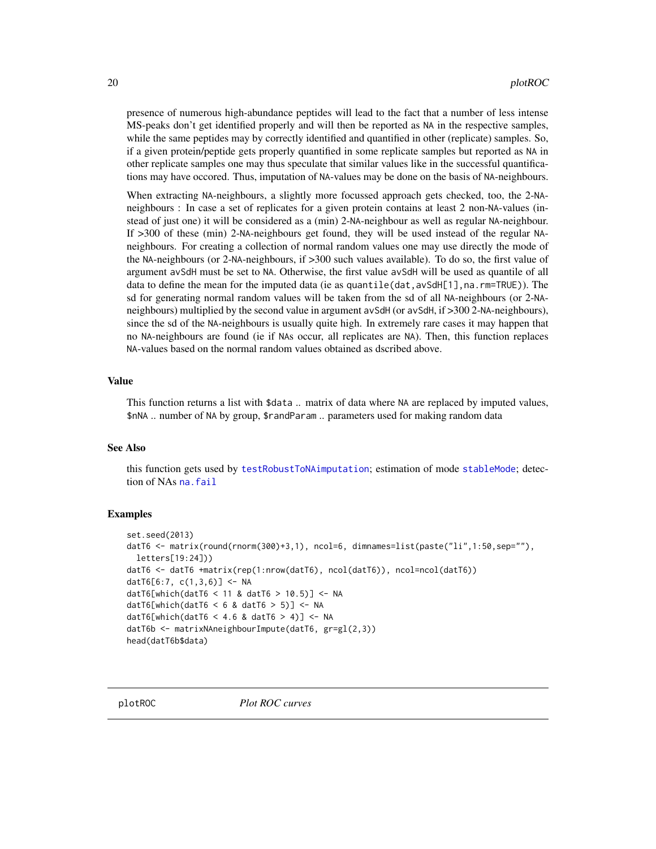<span id="page-19-0"></span>presence of numerous high-abundance peptides will lead to the fact that a number of less intense MS-peaks don't get identified properly and will then be reported as NA in the respective samples, while the same peptides may by correctly identified and quantified in other (replicate) samples. So, if a given protein/peptide gets properly quantified in some replicate samples but reported as NA in other replicate samples one may thus speculate that similar values like in the successful quantifications may have occored. Thus, imputation of NA-values may be done on the basis of NA-neighbours.

When extracting NA-neighbours, a slightly more focussed approach gets checked, too, the 2-NAneighbours : In case a set of replicates for a given protein contains at least 2 non-NA-values (instead of just one) it will be considered as a (min) 2-NA-neighbour as well as regular NA-neighbour. If >300 of these (min) 2-NA-neighbours get found, they will be used instead of the regular NAneighbours. For creating a collection of normal random values one may use directly the mode of the NA-neighbours (or 2-NA-neighbours, if >300 such values available). To do so, the first value of argument avSdH must be set to NA. Otherwise, the first value avSdH will be used as quantile of all data to define the mean for the imputed data (ie as quantile(dat,avSdH[1],na.rm=TRUE)). The sd for generating normal random values will be taken from the sd of all NA-neighbours (or 2-NAneighbours) multiplied by the second value in argument avSdH (or avSdH, if >300 2-NA-neighbours), since the sd of the NA-neighbours is usually quite high. In extremely rare cases it may happen that no NA-neighbours are found (ie if NAs occur, all replicates are NA). Then, this function replaces NA-values based on the normal random values obtained as dscribed above.

#### Value

This function returns a list with \$data .. matrix of data where NA are replaced by imputed values, \$nNA .. number of NA by group, \$randParam .. parameters used for making random data

#### See Also

this function gets used by [testRobustToNAimputation](#page-44-1); estimation of mode [stableMode](#page-0-0); detection of NAs [na.fail](#page-0-0)

#### Examples

```
set.seed(2013)
datT6 <- matrix(round(rnorm(300)+3,1), ncol=6, dimnames=list(paste("li",1:50,sep=""),
 letters[19:24]))
datT6 <- datT6 +matrix(rep(1:nrow(datT6), ncol(datT6)), ncol=ncol(datT6))
datT6[6:7, c(1,3,6)] <- NA
datT6[which(datT6 < 11 & datT6 > 10.5)] <- NA
datT6[which(datT6 < 6 & datT6 > 5)] <- NA
datT6[which(datT6 < 4.6 & datT6 > 4)] <- NA
datT6b <- matrixNAneighbourImpute(datT6, gr=gl(2,3))
head(datT6b$data)
```
<span id="page-19-1"></span>plotROC *Plot ROC curves*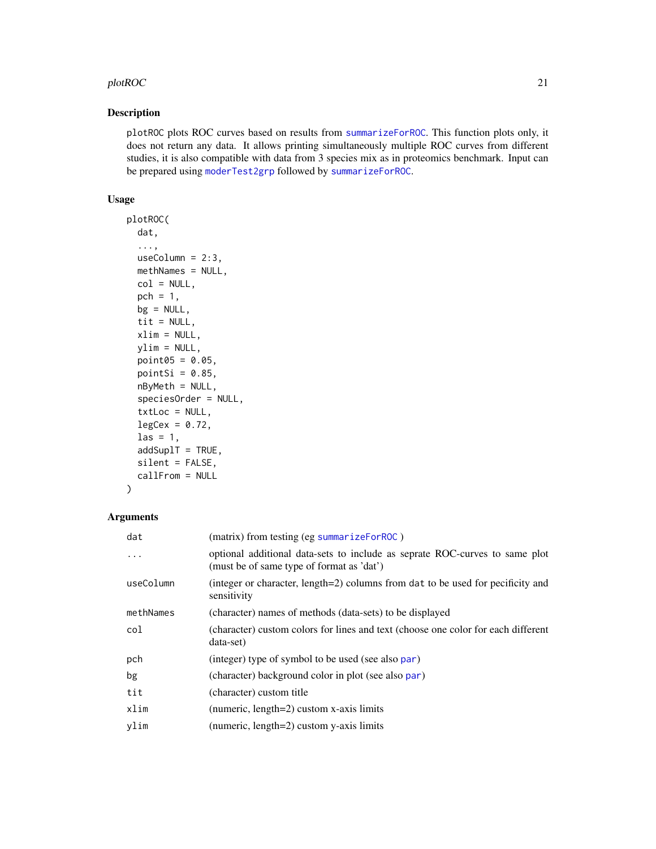#### <span id="page-20-0"></span> $p$ lotROC 21

#### Description

plotROC plots ROC curves based on results from [summarizeForROC](#page-41-1). This function plots only, it does not return any data. It allows printing simultaneously multiple ROC curves from different studies, it is also compatible with data from 3 species mix as in proteomics benchmark. Input can be prepared using [moderTest2grp](#page-0-0) followed by [summarizeForROC](#page-41-1).

#### Usage

```
plotROC(
  dat,
  ...,
 useColumn = 2:3,methNames = NULL,
  col = NULL,pch = 1,
 bg = NULL,tit = NULL,xlim = NULL,
 ylim = NULL,
 point05 = 0.05,
  pointSi = 0.85,
  nByMeth = NULL,
  speciesOrder = NULL,
  txtLoc = NULL,
  legCex = 0.72,
  \text{las} = 1,
  addSup1T = TRUE,silent = FALSE,
  callFrom = NULL
)
```

| dat       | (matrix) from testing (eg summarizeForROC)                                                                               |
|-----------|--------------------------------------------------------------------------------------------------------------------------|
| $\cdots$  | optional additional data-sets to include as seprate ROC-curves to same plot<br>(must be of same type of format as 'dat') |
| useColumn | (integer or character, length=2) columns from dat to be used for pecificity and<br>sensitivity                           |
| methNames | (character) names of methods (data-sets) to be displayed                                                                 |
| col       | (character) custom colors for lines and text (choose one color for each different<br>data-set)                           |
| pch       | (integer) type of symbol to be used (see also par)                                                                       |
| bg        | (character) background color in plot (see also par)                                                                      |
| tit       | (character) custom title                                                                                                 |
| xlim      | (numeric, length=2) custom x-axis limits                                                                                 |
| vlim      | (numeric, length=2) custom y-axis limits                                                                                 |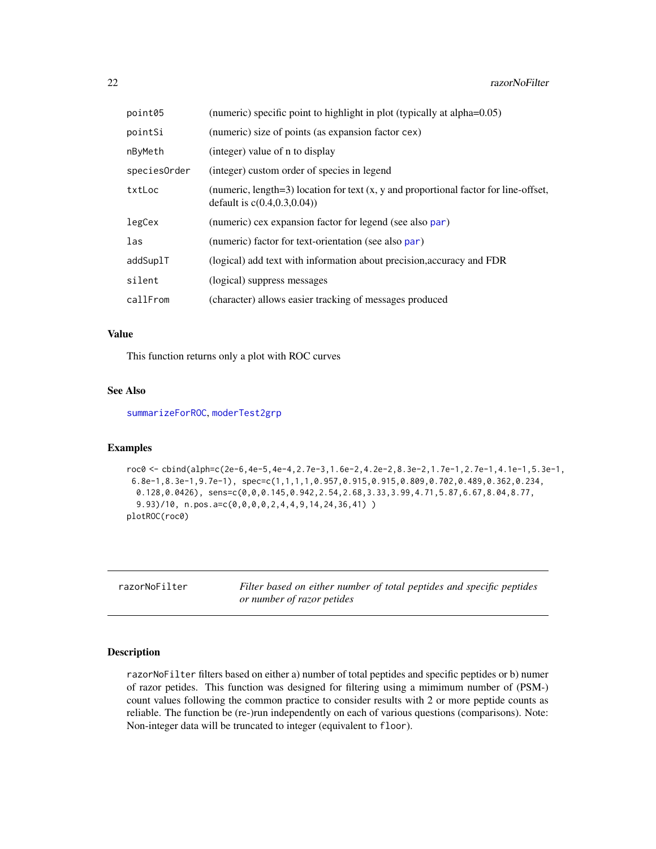<span id="page-21-0"></span>

| point05      | (numeric) specific point to highlight in plot (typically at alpha=0.05)                                                   |
|--------------|---------------------------------------------------------------------------------------------------------------------------|
| pointSi      | (numeric) size of points (as expansion factor cex)                                                                        |
| nByMeth      | (integer) value of n to display                                                                                           |
| speciesOrder | (integer) custom order of species in legend                                                                               |
| txtLoc       | (numeric, length=3) location for text $(x, y)$ and proportional factor for line-offset,<br>default is $c(0.4, 0.3, 0.04)$ |
| legCex       | (numeric) cex expansion factor for legend (see also par)                                                                  |
| las          | (numeric) factor for text-orientation (see also par)                                                                      |
| addSuplT     | (logical) add text with information about precision, accuracy and FDR                                                     |
| silent       | (logical) suppress messages                                                                                               |
| callFrom     | (character) allows easier tracking of messages produced                                                                   |

#### Value

This function returns only a plot with ROC curves

#### See Also

[summarizeForROC](#page-41-1), [moderTest2grp](#page-0-0)

#### Examples

```
roc0 <- cbind(alph=c(2e-6,4e-5,4e-4,2.7e-3,1.6e-2,4.2e-2,8.3e-2,1.7e-1,2.7e-1,4.1e-1,5.3e-1,
6.8e-1,8.3e-1,9.7e-1), spec=c(1,1,1,1,0.957,0.915,0.915,0.809,0.702,0.489,0.362,0.234,
 0.128,0.0426), sens=c(0,0,0.145,0.942,2.54,2.68,3.33,3.99,4.71,5.87,6.67,8.04,8.77,
 9.93)/10, n.pos.a=c(0,0,0,0,2,4,4,9,14,24,36,41) )
plotROC(roc0)
```
razorNoFilter *Filter based on either number of total peptides and specific peptides or number of razor petides*

#### Description

razorNoFilter filters based on either a) number of total peptides and specific peptides or b) numer of razor petides. This function was designed for filtering using a mimimum number of (PSM-) count values following the common practice to consider results with 2 or more peptide counts as reliable. The function be (re-)run independently on each of various questions (comparisons). Note: Non-integer data will be truncated to integer (equivalent to floor).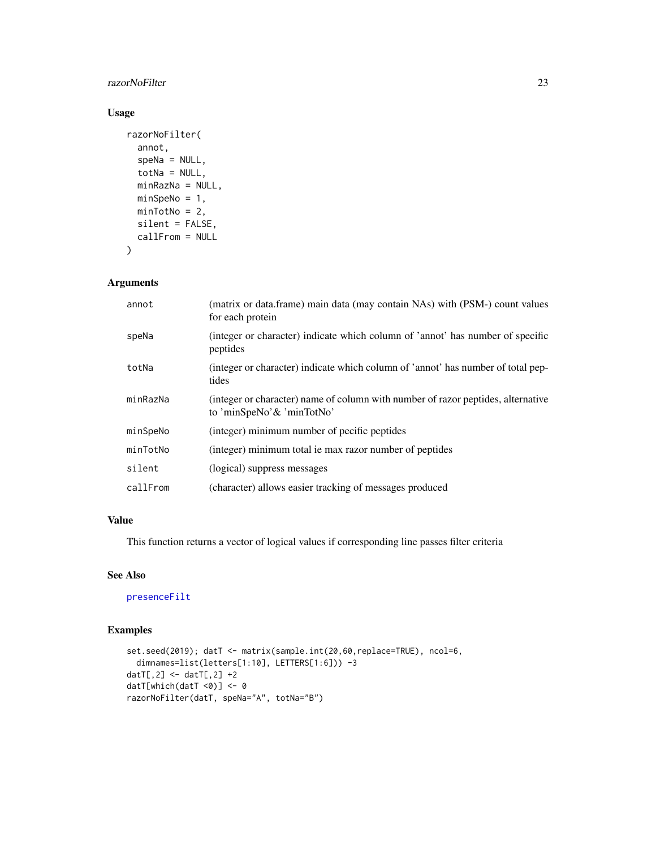#### <span id="page-22-0"></span>razorNoFilter 23

#### Usage

```
razorNoFilter(
  annot,
  speNa = NULL,
  totNa = NULL,minRazNa = NULL,
 minSpeNo = 1,
 minTotNo = 2,
 silent = FALSE,
 callFrom = NULL
)
```
#### Arguments

| annot    | (matrix or data.frame) main data (may contain NAs) with (PSM-) count values<br>for each protein               |
|----------|---------------------------------------------------------------------------------------------------------------|
| speNa    | (integer or character) indicate which column of 'annot' has number of specific<br>peptides                    |
| totNa    | (integer or character) indicate which column of 'annot' has number of total pep-<br>tides                     |
| minRazNa | (integer or character) name of column with number of razor peptides, alternative<br>to 'minSpeNo'& 'minTotNo' |
| minSpeNo | (integer) minimum number of pecific peptides                                                                  |
| minTotNo | (integer) minimum total ie max razor number of peptides                                                       |
| silent   | (logical) suppress messages                                                                                   |
| callFrom | (character) allows easier tracking of messages produced                                                       |

#### Value

This function returns a vector of logical values if corresponding line passes filter criteria

#### See Also

[presenceFilt](#page-0-0)

#### Examples

```
set.seed(2019); datT <- matrix(sample.int(20,60,replace=TRUE), ncol=6,
  dimnames=list(letters[1:10], LETTERS[1:6])) -3
datT[,2] <- datT[,2] +2
datT[which(datT <0)] <- 0
razorNoFilter(datT, speNa="A", totNa="B")
```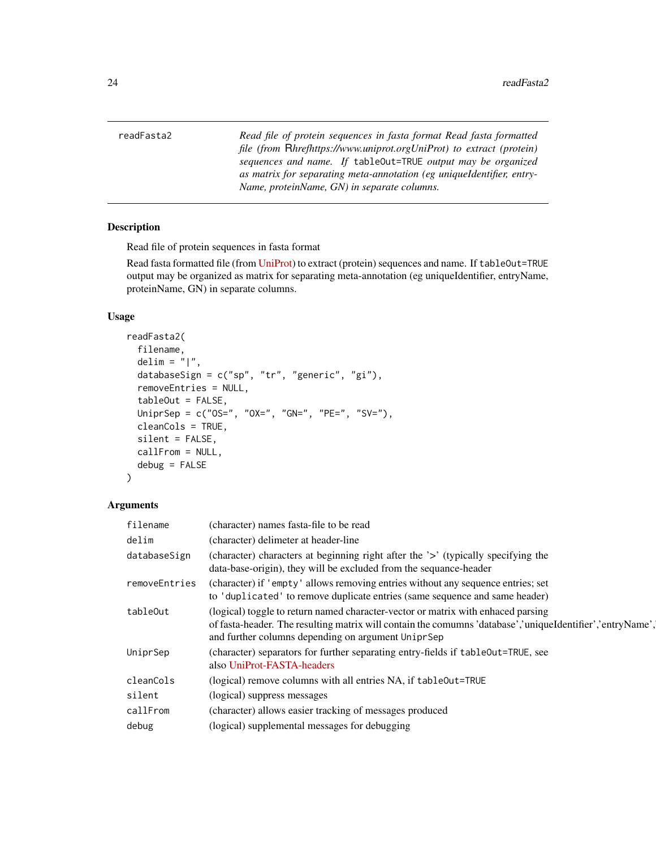<span id="page-23-1"></span><span id="page-23-0"></span>readFasta2 *Read file of protein sequences in fasta format Read fasta formatted file (from* R*hrefhttps://www.uniprot.orgUniProt) to extract (protein) sequences and name. If* tableOut=TRUE *output may be organized as matrix for separating meta-annotation (eg uniqueIdentifier, entry-Name, proteinName, GN) in separate columns.*

#### Description

Read file of protein sequences in fasta format

Read fasta formatted file (from [UniProt\)](https://www.uniprot.org) to extract (protein) sequences and name. If tableOut=TRUE output may be organized as matrix for separating meta-annotation (eg uniqueIdentifier, entryName, proteinName, GN) in separate columns.

#### Usage

```
readFasta2(
  filename,
  delim = "|",
  databaseSign = c("sp", "tr", "generic", "gi"),
  removeEntries = NULL,
  tableOut = FALSE,UniprSep = c("OS=", "OX=", "GN=", "PE=", "SV="),
  cleanCols = TRUE,
  silent = FALSE,
  callFrom = NULL,
  debug = FALSE
)
```

| filename      | (character) names fasta-file to be read                                                                                                                                                                                                             |
|---------------|-----------------------------------------------------------------------------------------------------------------------------------------------------------------------------------------------------------------------------------------------------|
| delim         | (character) delimeter at header-line                                                                                                                                                                                                                |
| databaseSign  | (character) characters at beginning right after the '>' (typically specifying the<br>data-base-origin), they will be excluded from the sequance-header                                                                                              |
| removeEntries | (character) if 'empty' allows removing entries without any sequence entries; set<br>to 'duplicated' to remove duplicate entries (same sequence and same header)                                                                                     |
| tableOut      | (logical) toggle to return named character-vector or matrix with enhaced parsing<br>of fasta-header. The resulting matrix will contain the comumns 'database','uniqueIdentifier','entryName',<br>and further columns depending on argument UniprSep |
| UniprSep      | (character) separators for further separating entry-fields if tableOut=TRUE, see<br>also UniProt-FASTA-headers                                                                                                                                      |
| cleanCols     | (logical) remove columns with all entries NA, if table0ut=TRUE                                                                                                                                                                                      |
| silent        | (logical) suppress messages                                                                                                                                                                                                                         |
| callFrom      | (character) allows easier tracking of messages produced                                                                                                                                                                                             |
| debug         | (logical) supplemental messages for debugging                                                                                                                                                                                                       |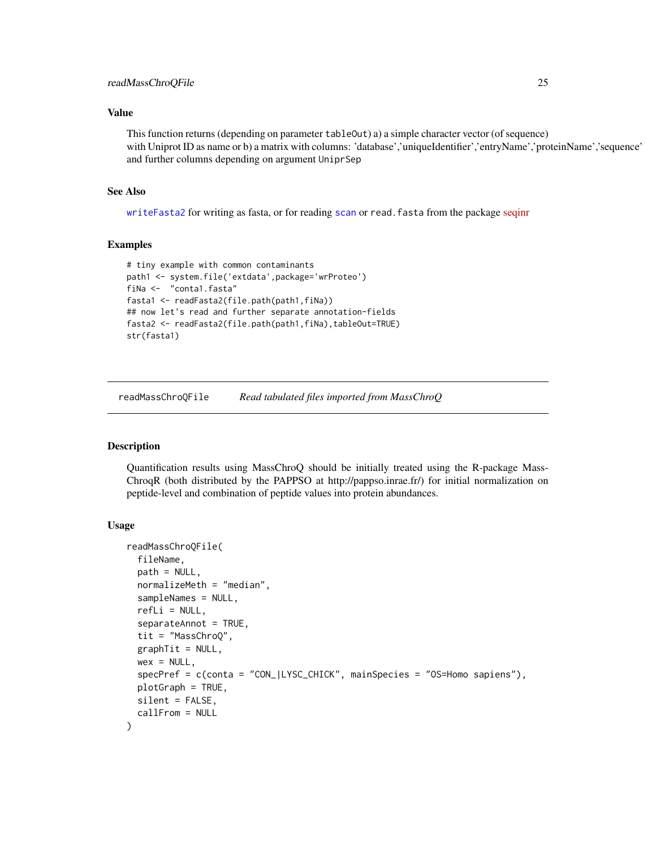#### <span id="page-24-0"></span>Value

This function returns (depending on parameter tableOut) a) a simple character vector (of sequence) with Uniprot ID as name or b) a matrix with columns: 'database','uniqueIdentifier','entryName','proteinName','sequence' and further columns depending on argument UniprSep

#### See Also

[writeFasta2](#page-49-1) for writing as fasta, or for reading [scan](#page-0-0) or read.fasta from the package [seqinr](https://CRAN.R-project.org/package=seqinr)

#### Examples

```
# tiny example with common contaminants
path1 <- system.file('extdata',package='wrProteo')
fiNa <- "conta1.fasta"
fasta1 <- readFasta2(file.path(path1,fiNa))
## now let's read and further separate annotation-fields
fasta2 <- readFasta2(file.path(path1,fiNa),tableOut=TRUE)
str(fasta1)
```
readMassChroQFile *Read tabulated files imported from MassChroQ*

#### Description

Quantification results using MassChroQ should be initially treated using the R-package Mass-ChroqR (both distributed by the PAPPSO at http://pappso.inrae.fr/) for initial normalization on peptide-level and combination of peptide values into protein abundances.

#### Usage

```
readMassChroQFile(
  fileName,
  path = NULL,
  normalizeMeth = "median",
  sampleNames = NULL,
  refLi = NULL,separateAnnot = TRUE,
  tit = "MassChroQ",
  graphTit = NULL,wex = NULL,
  specPref = c(conta = "CON_|LYSC_CHICK", mainSpecies = "OS=Homo sapiens"),
  plotGraph = TRUE,
  silent = FALSE,
  callFrom = NULL
)
```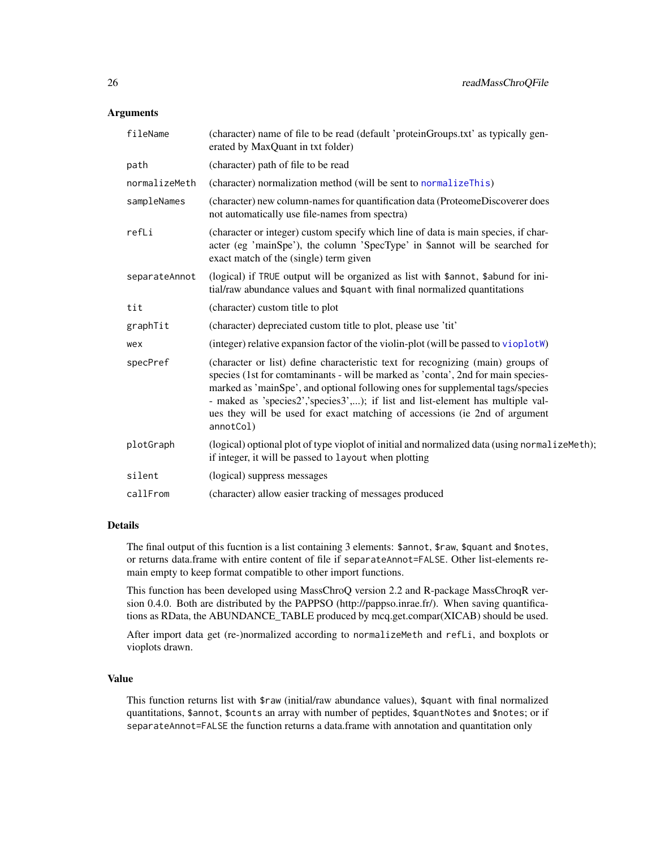#### <span id="page-25-0"></span>**Arguments**

| fileName      | (character) name of file to be read (default 'proteinGroups.txt' as typically gen-<br>erated by MaxQuant in txt folder)                                                                                                                                                                                                                                                                                                            |
|---------------|------------------------------------------------------------------------------------------------------------------------------------------------------------------------------------------------------------------------------------------------------------------------------------------------------------------------------------------------------------------------------------------------------------------------------------|
| path          | (character) path of file to be read                                                                                                                                                                                                                                                                                                                                                                                                |
| normalizeMeth | (character) normalization method (will be sent to normalizeThis)                                                                                                                                                                                                                                                                                                                                                                   |
| sampleNames   | (character) new column-names for quantification data (ProteomeDiscoverer does<br>not automatically use file-names from spectra)                                                                                                                                                                                                                                                                                                    |
| refLi         | (character or integer) custom specify which line of data is main species, if char-<br>acter (eg 'mainSpe'), the column 'SpecType' in \$annot will be searched for<br>exact match of the (single) term given                                                                                                                                                                                                                        |
| separateAnnot | (logical) if TRUE output will be organized as list with \$annot, \$abund for ini-<br>tial/raw abundance values and \$quant with final normalized quantitations                                                                                                                                                                                                                                                                     |
| tit           | (character) custom title to plot                                                                                                                                                                                                                                                                                                                                                                                                   |
| graphTit      | (character) depreciated custom title to plot, please use 'tit'                                                                                                                                                                                                                                                                                                                                                                     |
| wex           | (integer) relative expansion factor of the violin-plot (will be passed to vioplot W)                                                                                                                                                                                                                                                                                                                                               |
| specPref      | (character or list) define characteristic text for recognizing (main) groups of<br>species (1st for comtaminants - will be marked as 'conta', 2nd for main species-<br>marked as 'mainSpe', and optional following ones for supplemental tags/species<br>- maked as 'species2','species3',); if list and list-element has multiple val-<br>ues they will be used for exact matching of accessions (ie 2nd of argument<br>annotCol) |
| plotGraph     | (logical) optional plot of type vioplot of initial and normalized data (using normalizeMeth);<br>if integer, it will be passed to layout when plotting                                                                                                                                                                                                                                                                             |
| silent        | (logical) suppress messages                                                                                                                                                                                                                                                                                                                                                                                                        |
| callFrom      | (character) allow easier tracking of messages produced                                                                                                                                                                                                                                                                                                                                                                             |
|               |                                                                                                                                                                                                                                                                                                                                                                                                                                    |

#### Details

The final output of this fucntion is a list containing 3 elements: \$annot, \$raw, \$quant and \$notes, or returns data.frame with entire content of file if separateAnnot=FALSE. Other list-elements remain empty to keep format compatible to other import functions.

This function has been developed using MassChroQ version 2.2 and R-package MassChroqR version 0.4.0. Both are distributed by the PAPPSO (http://pappso.inrae.fr/). When saving quantifications as RData, the ABUNDANCE\_TABLE produced by mcq.get.compar(XICAB) should be used.

After import data get (re-)normalized according to normalizeMeth and refLi, and boxplots or vioplots drawn.

#### Value

This function returns list with \$raw (initial/raw abundance values), \$quant with final normalized quantitations, \$annot, \$counts an array with number of peptides, \$quantNotes and \$notes; or if separateAnnot=FALSE the function returns a data.frame with annotation and quantitation only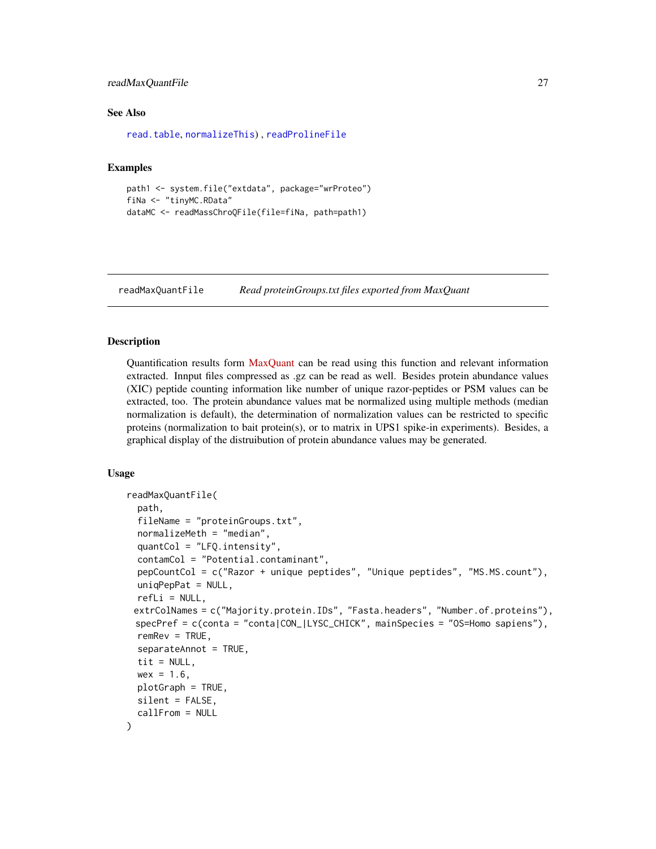#### <span id="page-26-0"></span>readMaxQuantFile 27

#### See Also

[read.table](#page-0-0), [normalizeThis](#page-0-0)) , [readProlineFile](#page-30-1)

#### Examples

```
path1 <- system.file("extdata", package="wrProteo")
fiNa <- "tinyMC.RData"
dataMC <- readMassChroQFile(file=fiNa, path=path1)
```
<span id="page-26-1"></span>readMaxQuantFile *Read proteinGroups.txt files exported from MaxQuant*

#### Description

Quantification results form [MaxQuant](https://www.maxquant.org/) can be read using this function and relevant information extracted. Innput files compressed as .gz can be read as well. Besides protein abundance values (XIC) peptide counting information like number of unique razor-peptides or PSM values can be extracted, too. The protein abundance values mat be normalized using multiple methods (median normalization is default), the determination of normalization values can be restricted to specific proteins (normalization to bait protein(s), or to matrix in UPS1 spike-in experiments). Besides, a graphical display of the distruibution of protein abundance values may be generated.

#### Usage

```
readMaxQuantFile(
  path,
  fileName = "proteinGroups.txt",
  normalizeMeth = "median",
  quantCol = "LFQ.intensity",
  contamCol = "Potential.contaminant",
  pepCountCol = c("Razor + unique peptides", "Unique peptides", "MS.MS.count"),
  uniqPepPat = NULL,refLi = NULL,extrColNames = c("Majority.protein.IDs", "Fasta.headers", "Number.of.proteins"),
 specPref = c(conta = "conta|CON_|LYSC_CHICK", mainSpecies = "OS=Homo sapiens"),
  remRev = TRUE,separateAnnot = TRUE,
  tit = NULL,wex = 1.6,
 plotGraph = TRUE,
  silent = FALSE,
  callFrom = NULL
)
```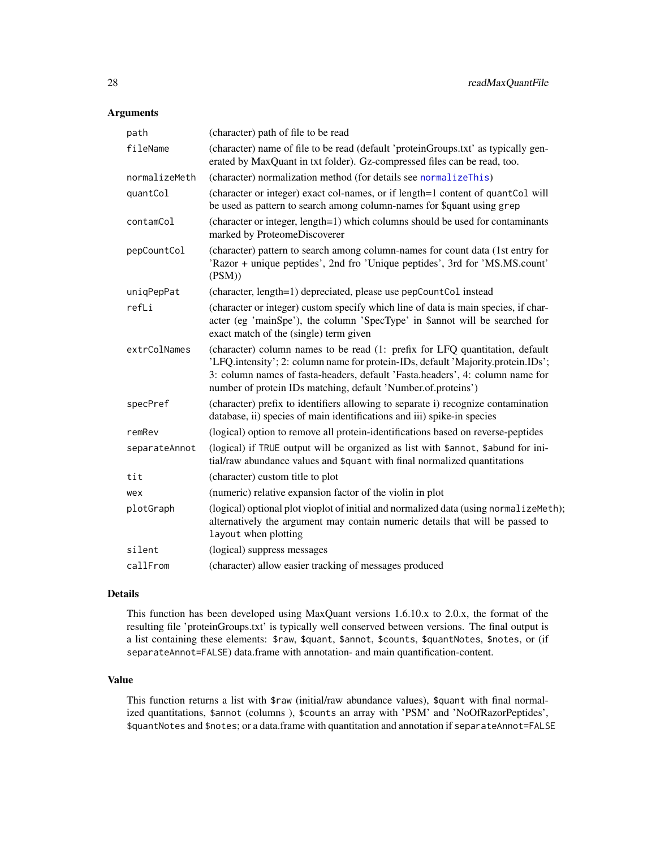#### Arguments

| path          | (character) path of file to be read                                                                                                                                                                                                                                                                                |  |
|---------------|--------------------------------------------------------------------------------------------------------------------------------------------------------------------------------------------------------------------------------------------------------------------------------------------------------------------|--|
| fileName      | (character) name of file to be read (default 'proteinGroups.txt' as typically gen-<br>erated by MaxQuant in txt folder). Gz-compressed files can be read, too.                                                                                                                                                     |  |
| normalizeMeth | (character) normalization method (for details see normalizeThis)                                                                                                                                                                                                                                                   |  |
| quantCol      | (character or integer) exact col-names, or if length=1 content of quantCol will<br>be used as pattern to search among column-names for \$quant using grep                                                                                                                                                          |  |
| contamCol     | (character or integer, length=1) which columns should be used for contaminants<br>marked by ProteomeDiscoverer                                                                                                                                                                                                     |  |
| pepCountCol   | (character) pattern to search among column-names for count data (1st entry for<br>'Razor + unique peptides', 2nd fro 'Unique peptides', 3rd for 'MS.MS.count'<br>(PSM))                                                                                                                                            |  |
| uniqPepPat    | (character, length=1) depreciated, please use pepCountCol instead                                                                                                                                                                                                                                                  |  |
| refLi         | (character or integer) custom specify which line of data is main species, if char-<br>acter (eg 'mainSpe'), the column 'SpecType' in \$annot will be searched for<br>exact match of the (single) term given                                                                                                        |  |
| extrColNames  | (character) column names to be read (1: prefix for LFQ quantitation, default<br>'LFQ.intensity'; 2: column name for protein-IDs, default 'Majority.protein.IDs';<br>3: column names of fasta-headers, default 'Fasta.headers', 4: column name for<br>number of protein IDs matching, default 'Number.of.proteins') |  |
| specPref      | (character) prefix to identifiers allowing to separate i) recognize contamination<br>database, ii) species of main identifications and iii) spike-in species                                                                                                                                                       |  |
| remRev        | (logical) option to remove all protein-identifications based on reverse-peptides                                                                                                                                                                                                                                   |  |
| separateAnnot | (logical) if TRUE output will be organized as list with \$annot, \$abund for ini-<br>tial/raw abundance values and \$quant with final normalized quantitations                                                                                                                                                     |  |
| tit           | (character) custom title to plot                                                                                                                                                                                                                                                                                   |  |
| wex           | (numeric) relative expansion factor of the violin in plot                                                                                                                                                                                                                                                          |  |
| plotGraph     | (logical) optional plot vioplot of initial and normalized data (using normalizeMeth);<br>alternatively the argument may contain numeric details that will be passed to<br>layout when plotting                                                                                                                     |  |
| silent        | (logical) suppress messages                                                                                                                                                                                                                                                                                        |  |
| callFrom      | (character) allow easier tracking of messages produced                                                                                                                                                                                                                                                             |  |

#### Details

This function has been developed using MaxQuant versions 1.6.10.x to 2.0.x, the format of the resulting file 'proteinGroups.txt' is typically well conserved between versions. The final output is a list containing these elements: \$raw, \$quant, \$annot, \$counts, \$quantNotes, \$notes, or (if separateAnnot=FALSE) data.frame with annotation- and main quantification-content.

#### Value

This function returns a list with \$raw (initial/raw abundance values), \$quant with final normalized quantitations, \$annot (columns ), \$counts an array with 'PSM' and 'NoOfRazorPeptides', \$quantNotes and \$notes; or a data.frame with quantitation and annotation if separateAnnot=FALSE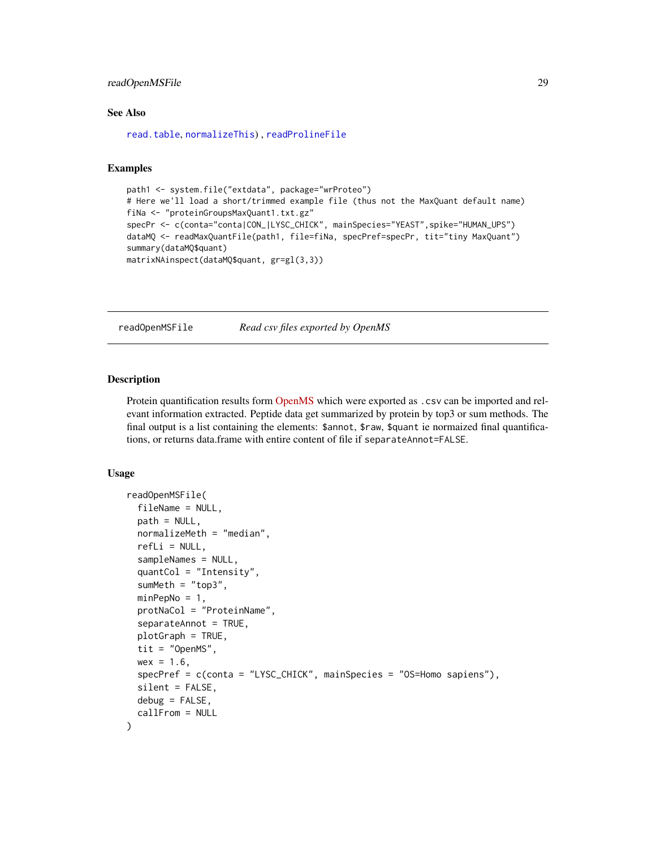#### <span id="page-28-0"></span>readOpenMSFile 29

#### See Also

[read.table](#page-0-0), [normalizeThis](#page-0-0)) , [readProlineFile](#page-30-1)

#### Examples

```
path1 <- system.file("extdata", package="wrProteo")
# Here we'll load a short/trimmed example file (thus not the MaxQuant default name)
fiNa <- "proteinGroupsMaxQuant1.txt.gz"
specPr <- c(conta="conta|CON_|LYSC_CHICK", mainSpecies="YEAST", spike="HUMAN_UPS")
dataMQ <- readMaxQuantFile(path1, file=fiNa, specPref=specPr, tit="tiny MaxQuant")
summary(dataMQ$quant)
matrixNAinspect(dataMQ$quant, gr=gl(3,3))
```
readOpenMSFile *Read csv files exported by OpenMS*

#### **Description**

Protein quantification results form [OpenMS](https://www.openms.de/) which were exported as . csv can be imported and relevant information extracted. Peptide data get summarized by protein by top3 or sum methods. The final output is a list containing the elements: \$annot, \$raw, \$quant ie normaized final quantifications, or returns data.frame with entire content of file if separateAnnot=FALSE.

#### Usage

```
readOpenMSFile(
  fileName = NULL,
  path = NULL.
  normalizeMeth = "median",
  refLi = NULL,sampleNames = NULL,
  quantCol = "Intensity",
  sumMeth = "top3",
 minPepNo = 1,
  protNaCol = "ProteinName",
  separateAnnot = TRUE,
  plotGraph = TRUE,
  tit = "OpenMS",
  wex = 1.6,
  specPref = c(conta = "LYSC_CHICK", mainSpecies = "OS=Homo sapiens"),
  silent = FALSE,
  debug = FALSE,callFrom = NULL
)
```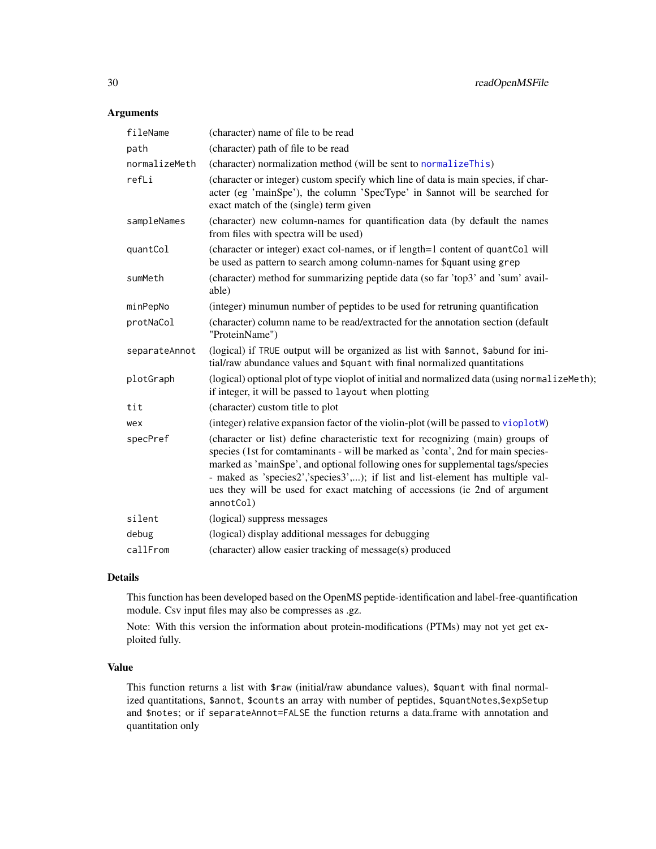#### <span id="page-29-0"></span>Arguments

| fileName      | (character) name of file to be read                                                                                                                                                                                                                                                                                                                                                                                                |  |
|---------------|------------------------------------------------------------------------------------------------------------------------------------------------------------------------------------------------------------------------------------------------------------------------------------------------------------------------------------------------------------------------------------------------------------------------------------|--|
| path          | (character) path of file to be read                                                                                                                                                                                                                                                                                                                                                                                                |  |
| normalizeMeth | (character) normalization method (will be sent to normalizeThis)                                                                                                                                                                                                                                                                                                                                                                   |  |
| refLi         | (character or integer) custom specify which line of data is main species, if char-<br>acter (eg 'mainSpe'), the column 'SpecType' in \$annot will be searched for<br>exact match of the (single) term given                                                                                                                                                                                                                        |  |
| sampleNames   | (character) new column-names for quantification data (by default the names<br>from files with spectra will be used)                                                                                                                                                                                                                                                                                                                |  |
| quantCol      | (character or integer) exact col-names, or if length=1 content of quantCol will<br>be used as pattern to search among column-names for \$quant using grep                                                                                                                                                                                                                                                                          |  |
| sumMeth       | (character) method for summarizing peptide data (so far 'top3' and 'sum' avail-<br>able)                                                                                                                                                                                                                                                                                                                                           |  |
| minPepNo      | (integer) minumun number of peptides to be used for retruning quantification                                                                                                                                                                                                                                                                                                                                                       |  |
| protNaCol     | (character) column name to be read/extracted for the annotation section (default<br>"ProteinName")                                                                                                                                                                                                                                                                                                                                 |  |
| separateAnnot | (logical) if TRUE output will be organized as list with \$annot, \$abund for ini-<br>tial/raw abundance values and \$quant with final normalized quantitations                                                                                                                                                                                                                                                                     |  |
| plotGraph     | (logical) optional plot of type vioplot of initial and normalized data (using normalizeMeth);<br>if integer, it will be passed to layout when plotting                                                                                                                                                                                                                                                                             |  |
| tit           | (character) custom title to plot                                                                                                                                                                                                                                                                                                                                                                                                   |  |
| wex           | (integer) relative expansion factor of the violin-plot (will be passed to vioplotW)                                                                                                                                                                                                                                                                                                                                                |  |
| specPref      | (character or list) define characteristic text for recognizing (main) groups of<br>species (1st for comtaminants - will be marked as 'conta', 2nd for main species-<br>marked as 'mainSpe', and optional following ones for supplemental tags/species<br>- maked as 'species2','species3',); if list and list-element has multiple val-<br>ues they will be used for exact matching of accessions (ie 2nd of argument<br>annotCol) |  |
| silent        | (logical) suppress messages                                                                                                                                                                                                                                                                                                                                                                                                        |  |
| debug         | (logical) display additional messages for debugging                                                                                                                                                                                                                                                                                                                                                                                |  |
| callFrom      | (character) allow easier tracking of message(s) produced                                                                                                                                                                                                                                                                                                                                                                           |  |

#### Details

This function has been developed based on the OpenMS peptide-identification and label-free-quantification module. Csv input files may also be compresses as .gz.

Note: With this version the information about protein-modifications (PTMs) may not yet get exploited fully.

#### Value

This function returns a list with \$raw (initial/raw abundance values), \$quant with final normalized quantitations, \$annot, \$counts an array with number of peptides, \$quantNotes,\$expSetup and \$notes; or if separateAnnot=FALSE the function returns a data.frame with annotation and quantitation only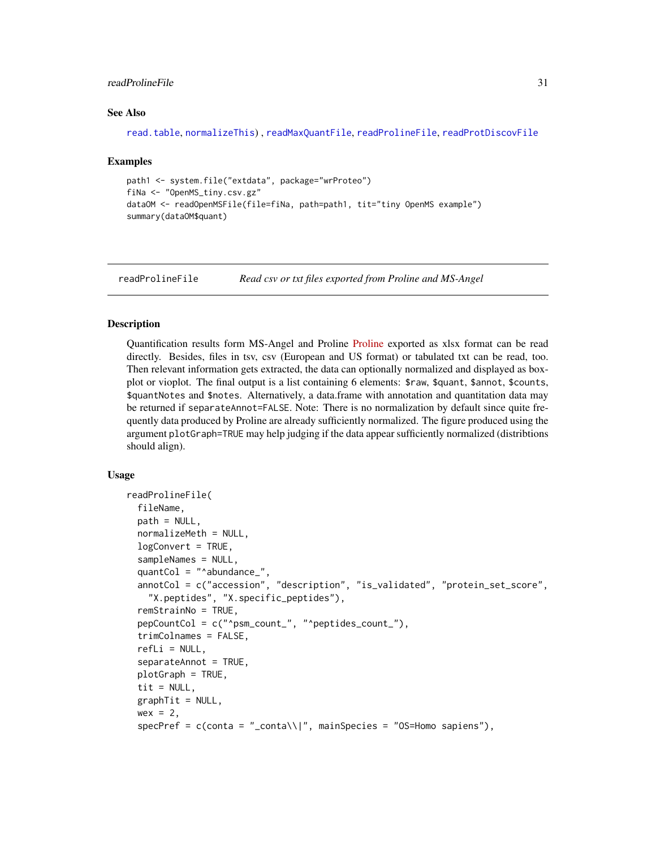#### <span id="page-30-0"></span>readProlineFile 31

#### See Also

```
read.table, normalizeThis) , readMaxQuantFile, readProlineFile, readProtDiscovFile
```
#### Examples

```
path1 <- system.file("extdata", package="wrProteo")
fiNa <- "OpenMS_tiny.csv.gz"
dataOM <- readOpenMSFile(file=fiNa, path=path1, tit="tiny OpenMS example")
summary(dataOM$quant)
```
<span id="page-30-1"></span>readProlineFile *Read csv or txt files exported from Proline and MS-Angel*

#### Description

Quantification results form MS-Angel and Proline [Proline](http://www.profiproteomics.fr/proline/) exported as xlsx format can be read directly. Besides, files in tsv, csv (European and US format) or tabulated txt can be read, too. Then relevant information gets extracted, the data can optionally normalized and displayed as boxplot or vioplot. The final output is a list containing 6 elements: \$raw, \$quant, \$annot, \$counts, \$quantNotes and \$notes. Alternatively, a data.frame with annotation and quantitation data may be returned if separateAnnot=FALSE. Note: There is no normalization by default since quite frequently data produced by Proline are already sufficiently normalized. The figure produced using the argument plotGraph=TRUE may help judging if the data appear sufficiently normalized (distribtions should align).

#### Usage

```
readProlineFile(
  fileName,
  path = NULL.
  normalizeMeth = NULL,
  logConvert = TRUE,
  sampleNames = NULL,
  quantCol = "^abundance_",
  annotCol = c("accession", "description", "is_validated", "protein_set_score",
    "X.peptides", "X.specific_peptides"),
  remStrainNo = TRUE,
  pepCountCol = c("^psm_count_", "^peptides_count_"),
  trimColnames = FALSE,
  refLi = NULL,
  separateAnnot = TRUE,
  plotGraph = TRUE,
  tit = NULL,graphTit = NULL,wex = 2,
  specPref = c(conta = "_{conta}\\ | |", main Species = "OS=Homes, sapiens"),
```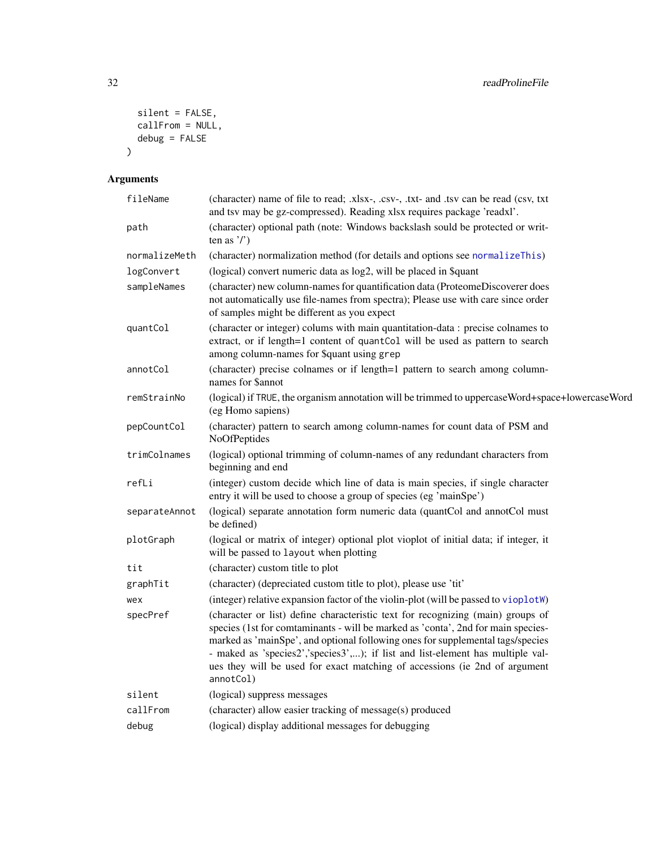```
silent = FALSE,
  callFrom = NULL,
 debug = FALSE
\lambda
```

| fileName      | (character) name of file to read; .xlsx-, .csv-, .txt- and .tsv can be read (csv, txt<br>and tsv may be gz-compressed). Reading xlsx requires package 'readxl'.                                                                                                                                                                                                                                                                    |
|---------------|------------------------------------------------------------------------------------------------------------------------------------------------------------------------------------------------------------------------------------------------------------------------------------------------------------------------------------------------------------------------------------------------------------------------------------|
| path          | (character) optional path (note: Windows backslash sould be protected or writ-<br>ten as $\prime$ )                                                                                                                                                                                                                                                                                                                                |
| normalizeMeth | (character) normalization method (for details and options see normalizeThis)                                                                                                                                                                                                                                                                                                                                                       |
| logConvert    | (logical) convert numeric data as log2, will be placed in \$quant                                                                                                                                                                                                                                                                                                                                                                  |
| sampleNames   | (character) new column-names for quantification data (ProteomeDiscoverer does<br>not automatically use file-names from spectra); Please use with care since order<br>of samples might be different as you expect                                                                                                                                                                                                                   |
| quantCol      | (character or integer) colums with main quantitation-data : precise colnames to<br>extract, or if length=1 content of quantCol will be used as pattern to search<br>among column-names for \$quant using grep                                                                                                                                                                                                                      |
| annotCol      | (character) precise colnames or if length=1 pattern to search among column-<br>names for Sannot                                                                                                                                                                                                                                                                                                                                    |
| remStrainNo   | (logical) if TRUE, the organism annotation will be trimmed to uppercase Word+space+lowercase Word<br>(eg Homo sapiens)                                                                                                                                                                                                                                                                                                             |
| pepCountCol   | (character) pattern to search among column-names for count data of PSM and<br>NoOfPeptides                                                                                                                                                                                                                                                                                                                                         |
| trimColnames  | (logical) optional trimming of column-names of any redundant characters from<br>beginning and end                                                                                                                                                                                                                                                                                                                                  |
| refLi         | (integer) custom decide which line of data is main species, if single character<br>entry it will be used to choose a group of species (eg 'mainSpe')                                                                                                                                                                                                                                                                               |
| separateAnnot | (logical) separate annotation form numeric data (quantCol and annotCol must<br>be defined)                                                                                                                                                                                                                                                                                                                                         |
| plotGraph     | (logical or matrix of integer) optional plot vioplot of initial data; if integer, it<br>will be passed to layout when plotting                                                                                                                                                                                                                                                                                                     |
| tit           | (character) custom title to plot                                                                                                                                                                                                                                                                                                                                                                                                   |
| graphTit      | (character) (depreciated custom title to plot), please use 'tit'                                                                                                                                                                                                                                                                                                                                                                   |
| wex           | (integer) relative expansion factor of the violin-plot (will be passed to vioplotW)                                                                                                                                                                                                                                                                                                                                                |
| specPref      | (character or list) define characteristic text for recognizing (main) groups of<br>species (1st for comtaminants - will be marked as 'conta', 2nd for main species-<br>marked as 'mainSpe', and optional following ones for supplemental tags/species<br>- maked as 'species2','species3',); if list and list-element has multiple val-<br>ues they will be used for exact matching of accessions (ie 2nd of argument<br>annotCol) |
| silent        | (logical) suppress messages                                                                                                                                                                                                                                                                                                                                                                                                        |
| callFrom      | (character) allow easier tracking of message(s) produced                                                                                                                                                                                                                                                                                                                                                                           |
| debug         | (logical) display additional messages for debugging                                                                                                                                                                                                                                                                                                                                                                                |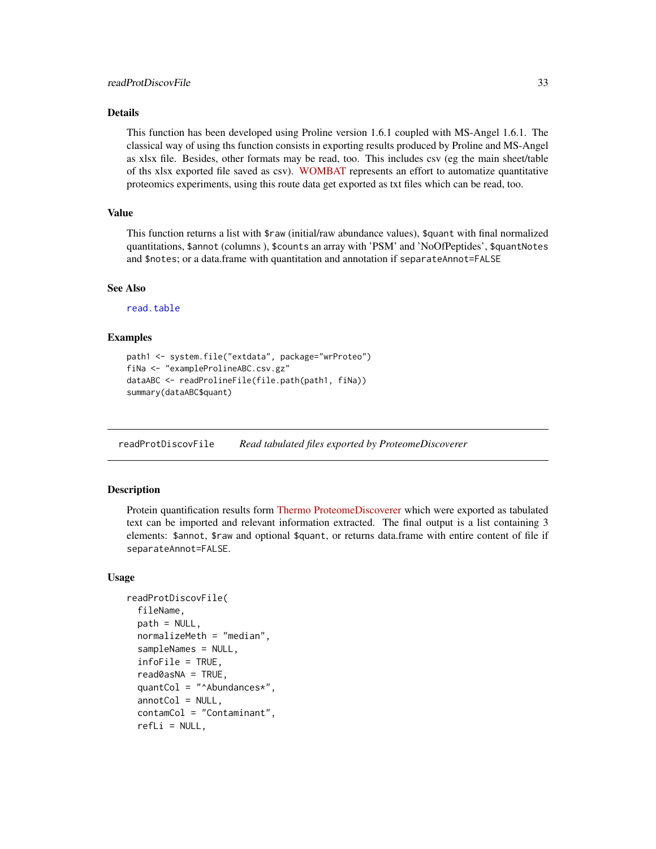#### <span id="page-32-0"></span>Details

This function has been developed using Proline version 1.6.1 coupled with MS-Angel 1.6.1. The classical way of using ths function consists in exporting results produced by Proline and MS-Angel as xlsx file. Besides, other formats may be read, too. This includes csv (eg the main sheet/table of ths xlsx exported file saved as csv). [WOMBAT](https://github.com/wombat-p) represents an effort to automatize quantitative proteomics experiments, using this route data get exported as txt files which can be read, too.

#### Value

This function returns a list with \$raw (initial/raw abundance values), \$quant with final normalized quantitations, \$annot (columns ), \$counts an array with 'PSM' and 'NoOfPeptides', \$quantNotes and \$notes; or a data.frame with quantitation and annotation if separateAnnot=FALSE

#### See Also

[read.table](#page-0-0)

#### Examples

```
path1 <- system.file("extdata", package="wrProteo")
fiNa <- "exampleProlineABC.csv.gz"
dataABC <- readProlineFile(file.path(path1, fiNa))
summary(dataABC$quant)
```
<span id="page-32-1"></span>readProtDiscovFile *Read tabulated files exported by ProteomeDiscoverer*

#### Description

Protein quantification results form [Thermo ProteomeDiscoverer](https://www.thermofisher.com/order/catalog/product/OPTON-30812) which were exported as tabulated text can be imported and relevant information extracted. The final output is a list containing 3 elements: \$annot, \$raw and optional \$quant, or returns data.frame with entire content of file if separateAnnot=FALSE.

#### Usage

```
readProtDiscovFile(
  fileName,
  path = NULL,
  normalizeMeth = "median",
  sampleNames = NULL,
  infoFile = TRUE,
  read0asNA = TRUE,
  quantCol = "^AAbundances*",
  annotCol = NULL,contamCol = "Contaminant",
  refLi = NULL,
```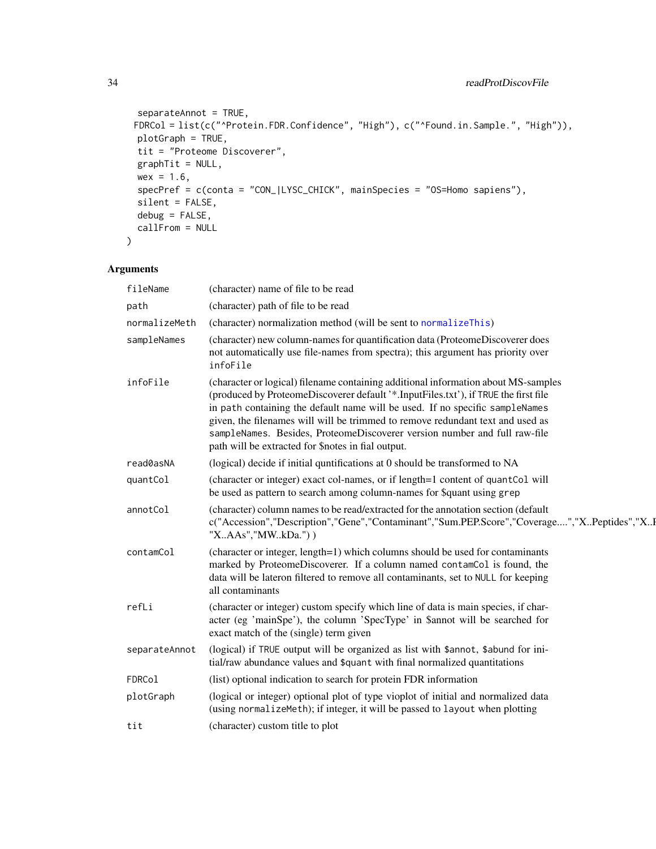```
separateAnnot = TRUE,
 FDRCol = list(c("^Protein.FDR.Confidence", "High"), c("^Found.in.Sample.", "High")),
 plotGraph = TRUE,
 tit = "Proteome Discoverer",
 graphTit = NULL,wex = 1.6,
 specPref = c(conta = "CON_|LYSC_CHICK", mainSpecies = "OS=Homo sapiens"),
  silent = FALSE,
 debug = FALSE,callFrom = NULL
\mathcal{L}
```

| fileName      | (character) name of file to be read                                                                                                                                                                                                                                                                                                                                                                                                                                            |
|---------------|--------------------------------------------------------------------------------------------------------------------------------------------------------------------------------------------------------------------------------------------------------------------------------------------------------------------------------------------------------------------------------------------------------------------------------------------------------------------------------|
| path          | (character) path of file to be read                                                                                                                                                                                                                                                                                                                                                                                                                                            |
| normalizeMeth | (character) normalization method (will be sent to normalizeThis)                                                                                                                                                                                                                                                                                                                                                                                                               |
| sampleNames   | (character) new column-names for quantification data (ProteomeDiscoverer does<br>not automatically use file-names from spectra); this argument has priority over<br>infoFile                                                                                                                                                                                                                                                                                                   |
| infoFile      | (character or logical) filename containing additional information about MS-samples<br>(produced by ProteomeDiscoverer default '*.InputFiles.txt'), if TRUE the first file<br>in path containing the default name will be used. If no specific sampleNames<br>given, the filenames will will be trimmed to remove redundant text and used as<br>sampleNames. Besides, ProteomeDiscoverer version number and full raw-file<br>path will be extracted for \$notes in fial output. |
| read0asNA     | (logical) decide if initial quntifications at 0 should be transformed to NA                                                                                                                                                                                                                                                                                                                                                                                                    |
| quantCol      | (character or integer) exact col-names, or if length=1 content of quantCol will<br>be used as pattern to search among column-names for \$quant using grep                                                                                                                                                                                                                                                                                                                      |
| annotCol      | (character) column names to be read/extracted for the annotation section (default<br>c("Accession","Description","Gene","Contaminant","Sum.PEP.Score","Coverage","XPeptides","XI<br>"XAAs","MWkDa."))                                                                                                                                                                                                                                                                          |
| contamCol     | (character or integer, length=1) which columns should be used for contaminants<br>marked by ProteomeDiscoverer. If a column named contamCol is found, the<br>data will be lateron filtered to remove all contaminants, set to NULL for keeping<br>all contaminants                                                                                                                                                                                                             |
| refLi         | (character or integer) custom specify which line of data is main species, if char-<br>acter (eg 'mainSpe'), the column 'SpecType' in \$annot will be searched for<br>exact match of the (single) term given                                                                                                                                                                                                                                                                    |
| separateAnnot | (logical) if TRUE output will be organized as list with \$annot, \$abund for ini-<br>tial/raw abundance values and \$quant with final normalized quantitations                                                                                                                                                                                                                                                                                                                 |
| FDRCol        | (list) optional indication to search for protein FDR information                                                                                                                                                                                                                                                                                                                                                                                                               |
| plotGraph     | (logical or integer) optional plot of type vioplot of initial and normalized data<br>(using normalizeMeth); if integer, it will be passed to layout when plotting                                                                                                                                                                                                                                                                                                              |
| tit           | (character) custom title to plot                                                                                                                                                                                                                                                                                                                                                                                                                                               |

<span id="page-33-0"></span>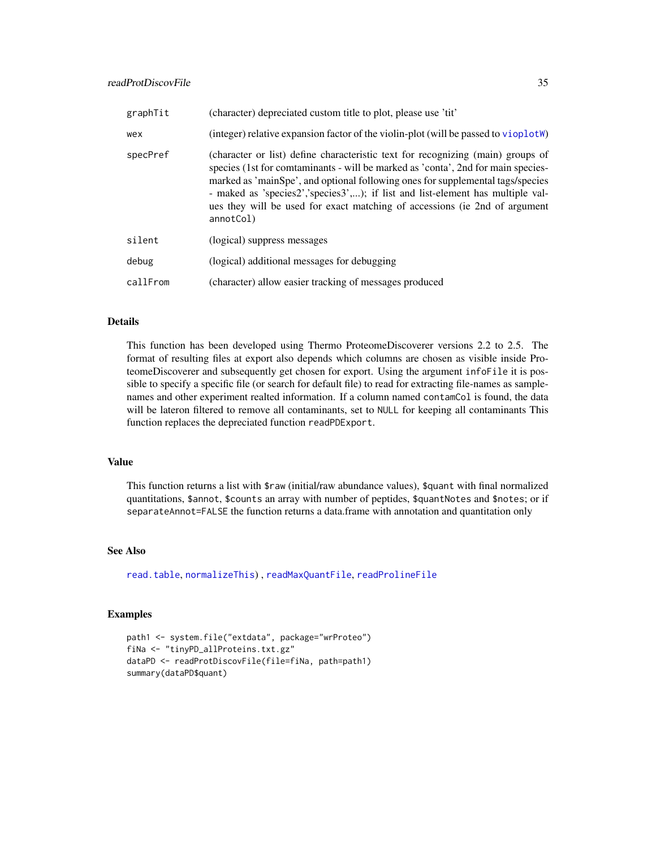<span id="page-34-0"></span>

| graphTit | (character) depreciated custom title to plot, please use 'tit'                                                                                                                                                                                                                                                                                                                                                                      |
|----------|-------------------------------------------------------------------------------------------------------------------------------------------------------------------------------------------------------------------------------------------------------------------------------------------------------------------------------------------------------------------------------------------------------------------------------------|
| wex      | (integer) relative expansion factor of the violin-plot (will be passed to vioplot W)                                                                                                                                                                                                                                                                                                                                                |
| specPref | (character or list) define characteristic text for recognizing (main) groups of<br>species (1st for comtaminants - will be marked as 'conta', 2nd for main species-<br>marked as 'mainSpe', and optional following ones for supplemental tags/species<br>- maked as 'species2', 'species3',); if list and list-element has multiple val-<br>ues they will be used for exact matching of accessions (ie 2nd of argument<br>annotCol) |
| silent   | (logical) suppress messages                                                                                                                                                                                                                                                                                                                                                                                                         |
| debug    | (logical) additional messages for debugging                                                                                                                                                                                                                                                                                                                                                                                         |
| callFrom | (character) allow easier tracking of messages produced                                                                                                                                                                                                                                                                                                                                                                              |

#### Details

This function has been developed using Thermo ProteomeDiscoverer versions 2.2 to 2.5. The format of resulting files at export also depends which columns are chosen as visible inside ProteomeDiscoverer and subsequently get chosen for export. Using the argument infoFile it is possible to specify a specific file (or search for default file) to read for extracting file-names as samplenames and other experiment realted information. If a column named contamCol is found, the data will be lateron filtered to remove all contaminants, set to NULL for keeping all contaminants This function replaces the depreciated function readPDExport.

#### Value

This function returns a list with \$raw (initial/raw abundance values), \$quant with final normalized quantitations, \$annot, \$counts an array with number of peptides, \$quantNotes and \$notes; or if separateAnnot=FALSE the function returns a data.frame with annotation and quantitation only

#### See Also

[read.table](#page-0-0), [normalizeThis](#page-0-0)) , [readMaxQuantFile](#page-26-1), [readProlineFile](#page-30-1)

#### Examples

```
path1 <- system.file("extdata", package="wrProteo")
fiNa <- "tinyPD_allProteins.txt.gz"
dataPD <- readProtDiscovFile(file=fiNa, path=path1)
summary(dataPD$quant)
```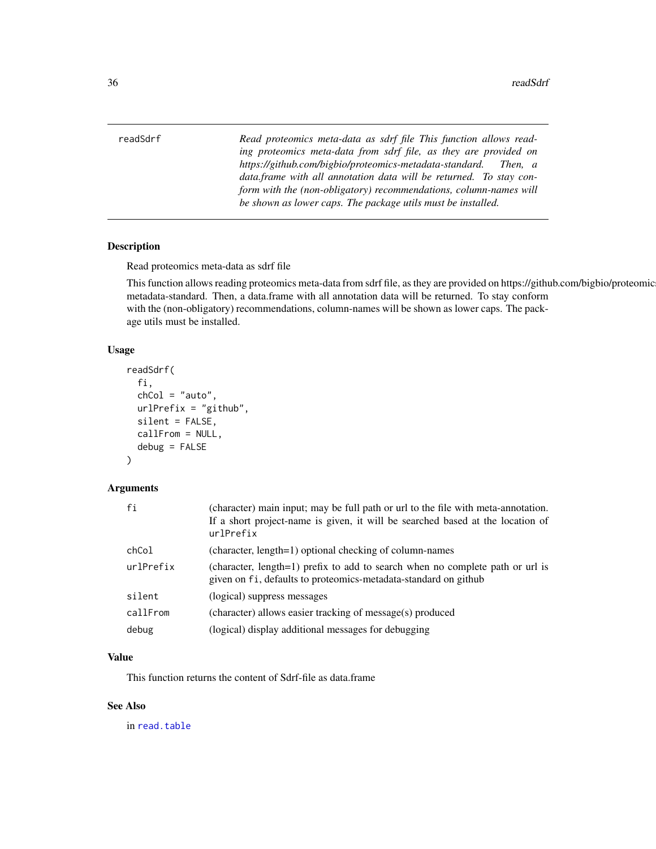<span id="page-35-0"></span>readSdrf *Read proteomics meta-data as sdrf file This function allows reading proteomics meta-data from sdrf file, as they are provided on https://github.com/bigbio/proteomics-metadata-standard. Then, a data.frame with all annotation data will be returned. To stay conform with the (non-obligatory) recommendations, column-names will be shown as lower caps. The package utils must be installed.*

#### Description

Read proteomics meta-data as sdrf file

This function allows reading proteomics meta-data from sdrf file, as they are provided on https://github.com/bigbio/proteomicsmetadata-standard. Then, a data.frame with all annotation data will be returned. To stay conform with the (non-obligatory) recommendations, column-names will be shown as lower caps. The package utils must be installed.

#### Usage

```
readSdrf(
  fi,
  chCol = "auto",urlPrefix = "github",
  silent = FALSE,
  callFrom = NULL,
  debug = FALSE
)
```
#### Arguments

| fi        | (character) main input; may be full path or url to the file with meta-annotation.<br>If a short project-name is given, it will be searched based at the location of<br>urlPrefix |
|-----------|----------------------------------------------------------------------------------------------------------------------------------------------------------------------------------|
| chCol     | (character, length=1) optional checking of column-names                                                                                                                          |
| urlPrefix | (character, length=1) prefix to add to search when no complete path or url is<br>given on fi, defaults to proteomics-metadata-standard on github                                 |
| silent    | (logical) suppress messages                                                                                                                                                      |
| callFrom  | (character) allows easier tracking of message(s) produced                                                                                                                        |
| debug     | (logical) display additional messages for debugging                                                                                                                              |

#### Value

This function returns the content of Sdrf-file as data.frame

#### See Also

in [read.table](#page-0-0)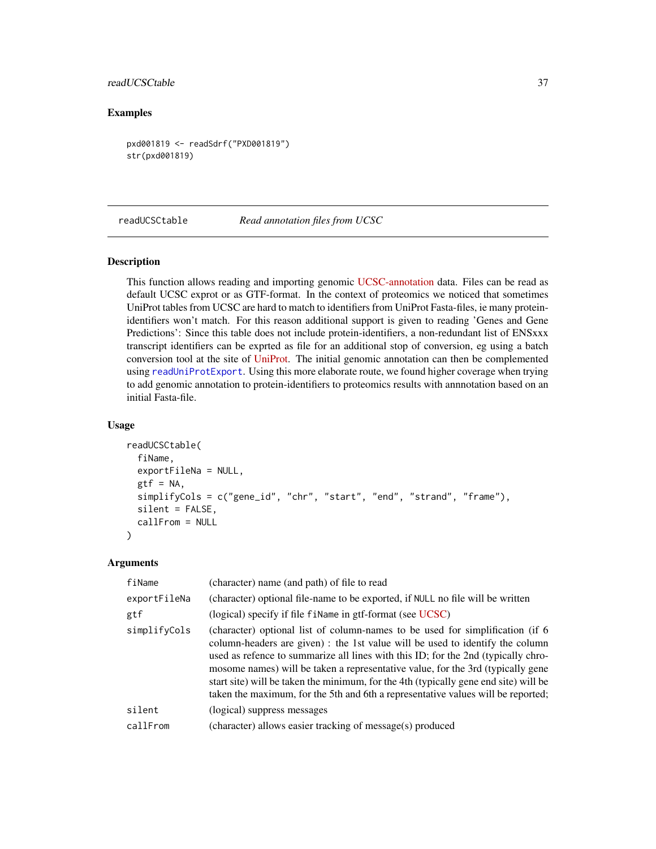#### <span id="page-36-0"></span>readUCSCtable 37

#### Examples

```
pxd001819 <- readSdrf("PXD001819")
str(pxd001819)
```
<span id="page-36-1"></span>readUCSCtable *Read annotation files from UCSC*

#### Description

This function allows reading and importing genomic [UCSC-annotation](https://genome.ucsc.edu/cgi-bin/hgTables) data. Files can be read as default UCSC exprot or as GTF-format. In the context of proteomics we noticed that sometimes UniProt tables from UCSC are hard to match to identifiers from UniProt Fasta-files, ie many proteinidentifiers won't match. For this reason additional support is given to reading 'Genes and Gene Predictions': Since this table does not include protein-identifiers, a non-redundant list of ENSxxx transcript identifiers can be exprted as file for an additional stop of conversion, eg using a batch conversion tool at the site of [UniProt.](https://www.uniprot.org/uploadlists/) The initial genomic annotation can then be complemented using [readUniProtExport](#page-37-1). Using this more elaborate route, we found higher coverage when trying to add genomic annotation to protein-identifiers to proteomics results with annnotation based on an initial Fasta-file.

#### Usage

```
readUCSCtable(
  fiName,
  exportFileNa = NULL,
  gtf = NA,
  simplifyCols = c("gene_id", "chr", "start", "end", "strand", "frame"),
  silent = FALSE,
  callFrom = NULL
)
```

| fiName       | (character) name (and path) of file to read                                                                                                                                                                                                                                                                                                                                                                                                                                                                         |
|--------------|---------------------------------------------------------------------------------------------------------------------------------------------------------------------------------------------------------------------------------------------------------------------------------------------------------------------------------------------------------------------------------------------------------------------------------------------------------------------------------------------------------------------|
| exportFileNa | (character) optional file-name to be exported, if NULL no file will be written                                                                                                                                                                                                                                                                                                                                                                                                                                      |
| gtf          | (logical) specify if file finame in gtf-format (see UCSC)                                                                                                                                                                                                                                                                                                                                                                                                                                                           |
| simplifyCols | (character) optional list of column-names to be used for simplification (if 6)<br>column-headers are given) : the 1st value will be used to identify the column<br>used as refence to summarize all lines with this ID; for the 2nd (typically chro-<br>mosome names) will be taken a representative value, for the 3rd (typically gene<br>start site) will be taken the minimum, for the 4th (typically gene end site) will be<br>taken the maximum, for the 5th and 6th a representative values will be reported; |
| silent       | (logical) suppress messages                                                                                                                                                                                                                                                                                                                                                                                                                                                                                         |
| callFrom     | (character) allows easier tracking of message(s) produced                                                                                                                                                                                                                                                                                                                                                                                                                                                           |
|              |                                                                                                                                                                                                                                                                                                                                                                                                                                                                                                                     |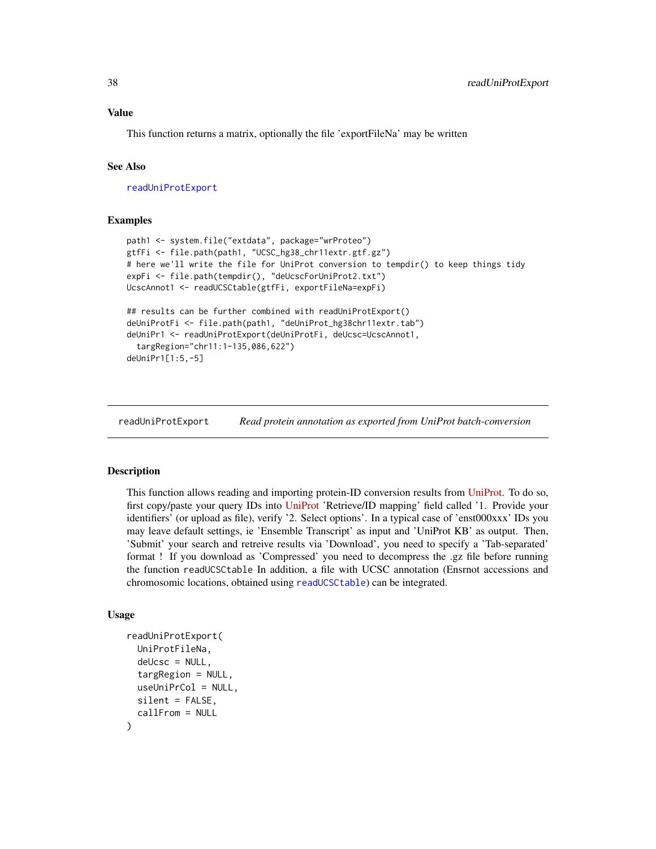#### <span id="page-37-0"></span>Value

This function returns a matrix, optionally the file 'exportFileNa' may be written

#### See Also

[readUniProtExport](#page-37-1)

#### Examples

```
path1 <- system.file("extdata", package="wrProteo")
gtfFi <- file.path(path1, "UCSC_hg38_chr11extr.gtf.gz")
# here we'll write the file for UniProt conversion to tempdir() to keep things tidy
expFi <- file.path(tempdir(), "deUcscForUniProt2.txt")
UcscAnnot1 <- readUCSCtable(gtfFi, exportFileNa=expFi)
## results can be further combined with readUniProtExport()
deUniProtFi <- file.path(path1, "deUniProt_hg38chr11extr.tab")
deUniPr1 <- readUniProtExport(deUniProtFi, deUcsc=UcscAnnot1,
  targRegion="chr11:1-135,086,622")
deUniPr1[1:5,-5]
```
<span id="page-37-1"></span>readUniProtExport *Read protein annotation as exported from UniProt batch-conversion*

#### Description

This function allows reading and importing protein-ID conversion results from [UniProt.](https://www.uniprot.org/uploadlists/) To do so, first copy/paste your query IDs into [UniProt](https://www.uniprot.org/uploadlists/) 'Retrieve/ID mapping' field called '1. Provide your identifiers' (or upload as file), verify '2. Select options'. In a typical case of 'enst000xxx' IDs you may leave default settings, ie 'Ensemble Transcript' as input and 'UniProt KB' as output. Then, 'Submit' your search and retreive results via 'Download', you need to specify a 'Tab-separated' format ! If you download as 'Compressed' you need to decompress the .gz file before running the function readUCSCtable In addition, a file with UCSC annotation (Ensrnot accessions and chromosomic locations, obtained using [readUCSCtable](#page-36-1)) can be integrated.

#### Usage

```
readUniProtExport(
  UniProtFileNa,
  delc = NULL,
  targRegion = NULL,
  useUniPrCol = NULL,
  silent = FALSE,
  callFrom = NULL
)
```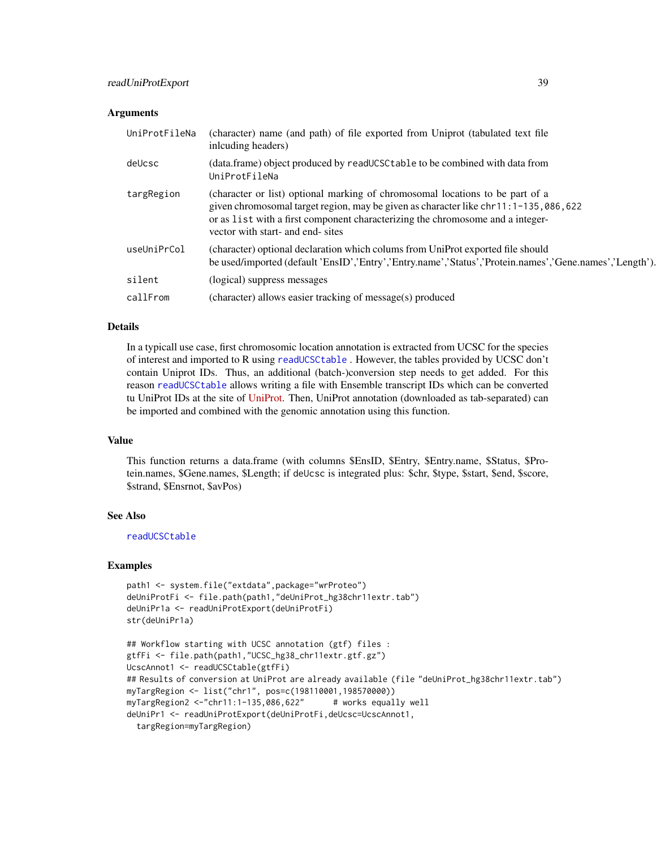#### <span id="page-38-0"></span>**Arguments**

| UniProtFileNa | (character) name (and path) of file exported from Uniprot (tabulated text file<br>inlcuding headers)                                                                                                                                                                                        |
|---------------|---------------------------------------------------------------------------------------------------------------------------------------------------------------------------------------------------------------------------------------------------------------------------------------------|
| deUcsc        | (data.frame) object produced by readUCSCtable to be combined with data from<br>UniProtFileNa                                                                                                                                                                                                |
| targRegion    | (character or list) optional marking of chromosomal locations to be part of a<br>given chromosomal target region, may be given as character like chr11:1-135,086,622<br>or as list with a first component characterizing the chromosome and a integer-<br>vector with start- and end- sites |
| useUniPrCol   | (character) optional declaration which colums from UniProt exported file should<br>be used/imported (default 'EnsID', 'Entry','Entry.name','Status','Protein.names','Gene.names','Length').                                                                                                 |
| silent        | (logical) suppress messages                                                                                                                                                                                                                                                                 |
| callFrom      | (character) allows easier tracking of message(s) produced                                                                                                                                                                                                                                   |

#### Details

In a typicall use case, first chromosomic location annotation is extracted from UCSC for the species of interest and imported to R using [readUCSCtable](#page-36-1) . However, the tables provided by UCSC don't contain Uniprot IDs. Thus, an additional (batch-)conversion step needs to get added. For this reason [readUCSCtable](#page-36-1) allows writing a file with Ensemble transcript IDs which can be converted tu UniProt IDs at the site of [UniProt.](https://www.uniprot.org/uploadlists/) Then, UniProt annotation (downloaded as tab-separated) can be imported and combined with the genomic annotation using this function.

#### Value

This function returns a data.frame (with columns \$EnsID, \$Entry, \$Entry.name, \$Status, \$Protein.names, \$Gene.names, \$Length; if deUcsc is integrated plus: \$chr, \$type, \$start, \$end, \$score, \$strand, \$Ensrnot, \$avPos)

#### See Also

[readUCSCtable](#page-36-1)

#### Examples

```
path1 <- system.file("extdata",package="wrProteo")
deUniProtFi <- file.path(path1,"deUniProt_hg38chr11extr.tab")
deUniPr1a <- readUniProtExport(deUniProtFi)
str(deUniPr1a)
```

```
## Workflow starting with UCSC annotation (gtf) files :
gtfFi <- file.path(path1,"UCSC_hg38_chr11extr.gtf.gz")
UcscAnnot1 <- readUCSCtable(gtfFi)
## Results of conversion at UniProt are already available (file "deUniProt_hg38chr11extr.tab")
myTargRegion <- list("chr1", pos=c(198110001,198570000))
myTargRegion2 < -"chr11:1-135,086,622" # works equally well
deUniPr1 <- readUniProtExport(deUniProtFi,deUcsc=UcscAnnot1,
 targRegion=myTargRegion)
```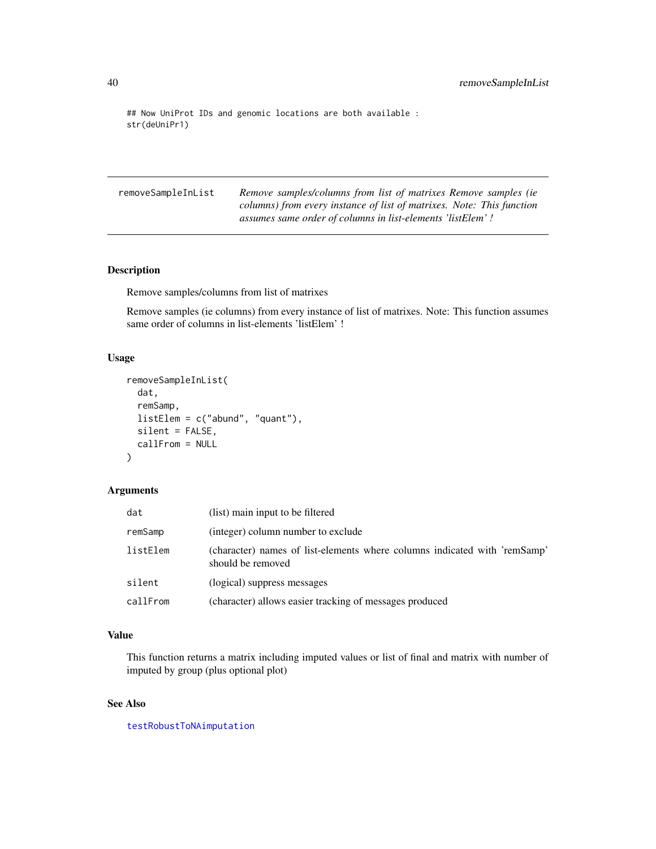```
## Now UniProt IDs and genomic locations are both available :
str(deUniPr1)
```
removeSampleInList *Remove samples/columns from list of matrixes Remove samples (ie columns) from every instance of list of matrixes. Note: This function assumes same order of columns in list-elements 'listElem' !*

#### Description

Remove samples/columns from list of matrixes

Remove samples (ie columns) from every instance of list of matrixes. Note: This function assumes same order of columns in list-elements 'listElem' !

#### Usage

```
removeSampleInList(
  dat,
  remSamp,
  listElem = c("abund", "quant"),
  silent = FALSE,
  callFrom = NULL
\mathcal{L}
```
#### Arguments

| dat      | (list) main input to be filtered                                                               |
|----------|------------------------------------------------------------------------------------------------|
| remSamp  | (integer) column number to exclude                                                             |
| listElem | (character) names of list-elements where columns indicated with 'remSamp'<br>should be removed |
| silent   | (logical) suppress messages                                                                    |
| callFrom | (character) allows easier tracking of messages produced                                        |

#### Value

This function returns a matrix including imputed values or list of final and matrix with number of imputed by group (plus optional plot)

#### See Also

[testRobustToNAimputation](#page-44-1)

<span id="page-39-0"></span>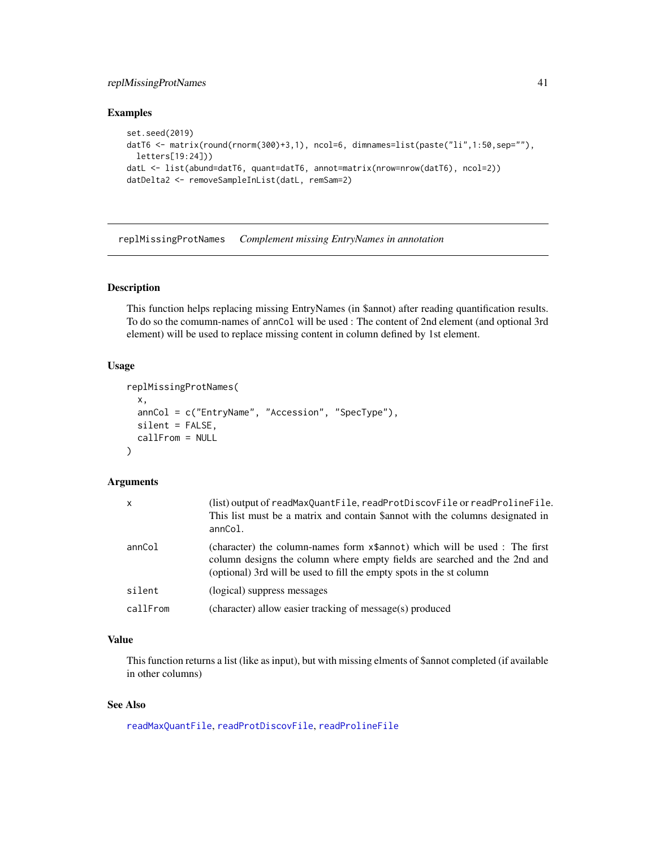#### <span id="page-40-0"></span>replMissingProtNames 41

#### Examples

```
set.seed(2019)
datT6 <- matrix(round(rnorm(300)+3,1), ncol=6, dimnames=list(paste("li",1:50,sep=""),
  letters[19:24]))
datL <- list(abund=datT6, quant=datT6, annot=matrix(nrow=nrow(datT6), ncol=2))
datDelta2 <- removeSampleInList(datL, remSam=2)
```
replMissingProtNames *Complement missing EntryNames in annotation*

#### Description

This function helps replacing missing EntryNames (in \$annot) after reading quantification results. To do so the comumn-names of annCol will be used : The content of 2nd element (and optional 3rd element) will be used to replace missing content in column defined by 1st element.

#### Usage

```
replMissingProtNames(
  x,
 annCol = c("EntryName", "Accession", "SpecType"),
 silent = FALSE,
 callFrom = NULL
\lambda
```
#### Arguments

| x        | (list) output of readMaxQuantFile, readProtDiscovFile or readProlineFile.<br>This list must be a matrix and contain \$annot with the columns designated in<br>annCol.                                                           |
|----------|---------------------------------------------------------------------------------------------------------------------------------------------------------------------------------------------------------------------------------|
| annCol   | (character) the column-names form x\$annot) which will be used : The first<br>column designs the column where empty fields are searched and the 2nd and<br>(optional) 3rd will be used to fill the empty spots in the st column |
| silent   | (logical) suppress messages                                                                                                                                                                                                     |
| callFrom | (character) allow easier tracking of message(s) produced                                                                                                                                                                        |

#### Value

This function returns a list (like as input), but with missing elments of \$annot completed (if available in other columns)

#### See Also

[readMaxQuantFile](#page-26-1), [readProtDiscovFile](#page-32-1), [readProlineFile](#page-30-1)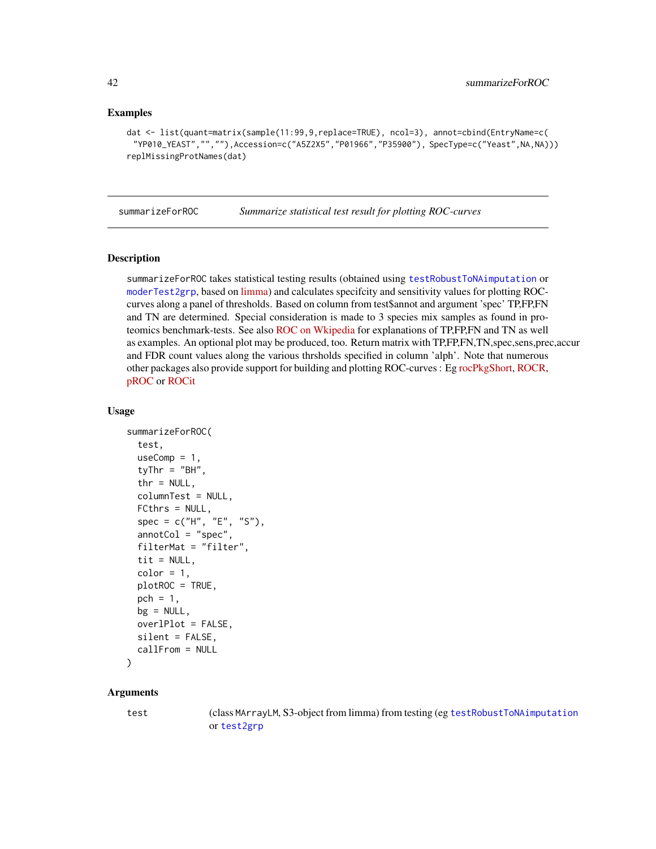#### <span id="page-41-0"></span>Examples

```
dat <- list(quant=matrix(sample(11:99,9,replace=TRUE), ncol=3), annot=cbind(EntryName=c(
 "YP010_YEAST","",""),Accession=c("A5Z2X5","P01966","P35900"), SpecType=c("Yeast",NA,NA)))
replMissingProtNames(dat)
```
<span id="page-41-1"></span>summarizeForROC *Summarize statistical test result for plotting ROC-curves*

#### Description

summarizeForROC takes statistical testing results (obtained using [testRobustToNAimputation](#page-44-1) or [moderTest2grp](#page-0-0), based on [limma\)](https://bioconductor.org/packages/release/bioc/html/limma.html) and calculates specifcity and sensitivity values for plotting ROCcurves along a panel of thresholds. Based on column from test\$annot and argument 'spec' TP,FP,FN and TN are determined. Special consideration is made to 3 species mix samples as found in proteomics benchmark-tests. See also [ROC on Wkipedia](https://en.wikipedia.org/wiki/Receiver_operating_characteristic) for explanations of TP,FP,FN and TN as well as examples. An optional plot may be produced, too. Return matrix with TP,FP,FN,TN,spec,sens,prec,accur and FDR count values along the various thrsholds specified in column 'alph'. Note that numerous other packages also provide support for building and plotting ROC-curves : Eg [rocPkgShort,](https://CRAN.R-project.org/package=dlstats) [ROCR,](https://CRAN.R-project.org/package=ROCR) [pROC](https://CRAN.R-project.org/package=pROC) or [ROCit](https://CRAN.R-project.org/package=ROCit)

#### Usage

```
summarizeForROC(
  test,
  useComp = 1,
  tyThr = "BH",thr = NULL,columnTest = NULL,
  FCthrs = NULL,
  spec = c("H", "E", "S"),
  annotCol = "spec",filterMat = "filter",
  tit = NULL,color = 1,plotROC = TRUE,
  pch = 1,
  bg = NULL,overlPlot = FALSE,
  silent = FALSE,
  callFrom = NULL
```
### )

#### Arguments

test (class MArrayLM, S3-object from limma) from testing (eg [testRobustToNAimputation](#page-44-1) or [test2grp](#page-43-1)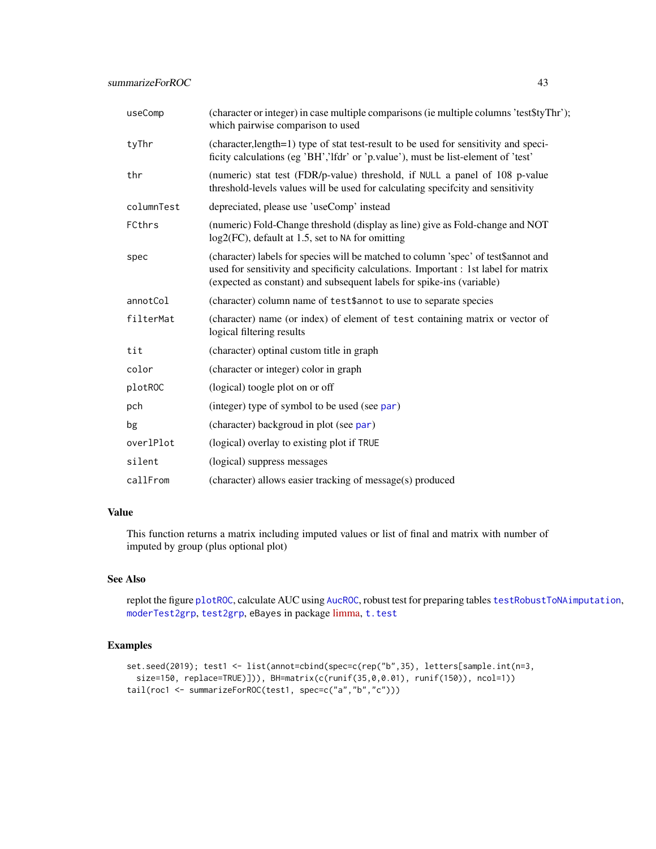<span id="page-42-0"></span>

| useComp    | (character or integer) in case multiple comparisons (ie multiple columns 'test\$tyThr');<br>which pairwise comparison to used                                                                                                                      |
|------------|----------------------------------------------------------------------------------------------------------------------------------------------------------------------------------------------------------------------------------------------------|
| tyThr      | (character, length=1) type of stat test-result to be used for sensitivity and speci-<br>ficity calculations (eg 'BH','Ifdr' or 'p.value'), must be list-element of 'test'                                                                          |
| thr        | (numeric) stat test (FDR/p-value) threshold, if NULL a panel of 108 p-value<br>threshold-levels values will be used for calculating specifcity and sensitivity                                                                                     |
| columnTest | depreciated, please use 'useComp' instead                                                                                                                                                                                                          |
| FCthrs     | (numeric) Fold-Change threshold (display as line) give as Fold-change and NOT<br>log2(FC), default at 1.5, set to NA for omitting                                                                                                                  |
| spec       | (character) labels for species will be matched to column 'spec' of test\$annot and<br>used for sensitivity and specificity calculations. Important : 1st label for matrix<br>(expected as constant) and subsequent labels for spike-ins (variable) |
| annotCol   | (character) column name of test\$annot to use to separate species                                                                                                                                                                                  |
| filterMat  | (character) name (or index) of element of test containing matrix or vector of<br>logical filtering results                                                                                                                                         |
| tit        | (character) optinal custom title in graph                                                                                                                                                                                                          |
| color      | (character or integer) color in graph                                                                                                                                                                                                              |
| plotROC    | (logical) toogle plot on or off                                                                                                                                                                                                                    |
| pch        | (integer) type of symbol to be used (see par)                                                                                                                                                                                                      |
| bg         | (character) backgroud in plot (see par)                                                                                                                                                                                                            |
| overlPlot  | (logical) overlay to existing plot if TRUE                                                                                                                                                                                                         |
| silent     | (logical) suppress messages                                                                                                                                                                                                                        |
| callFrom   | (character) allows easier tracking of message(s) produced                                                                                                                                                                                          |

#### Value

This function returns a matrix including imputed values or list of final and matrix with number of imputed by group (plus optional plot)

#### See Also

replot the figure [plotROC](#page-19-1), calculate AUC using [AucROC](#page-2-2), robust test for preparing tables [testRobustToNAimputation](#page-44-1), [moderTest2grp](#page-0-0), [test2grp](#page-43-1), eBayes in package [limma,](https://bioconductor.org/packages/release/bioc/html/limma.html) [t.test](#page-0-0)

#### Examples

```
set.seed(2019); test1 <- list(annot=cbind(spec=c(rep("b",35), letters[sample.int(n=3,
 size=150, replace=TRUE)])), BH=matrix(c(runif(35,0,0.01), runif(150)), ncol=1))
tail(roc1 <- summarizeForROC(test1, spec=c("a","b","c")))
```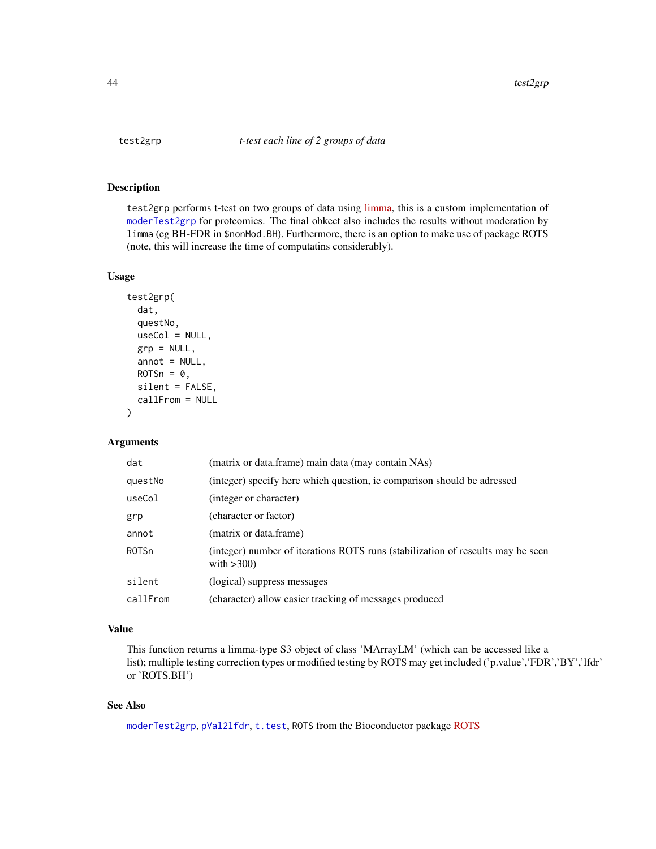<span id="page-43-1"></span><span id="page-43-0"></span>

#### Description

test2grp performs t-test on two groups of data using [limma,](https://bioconductor.org/packages/release/bioc/html/limma.html) this is a custom implementation of [moderTest2grp](#page-0-0) for proteomics. The final obkect also includes the results without moderation by limma (eg BH-FDR in \$nonMod.BH). Furthermore, there is an option to make use of package ROTS (note, this will increase the time of computatins considerably).

#### Usage

```
test2grp(
  dat,
  questNo,
  useCol = NULL,grp = NULL,annot = NULL,ROTSn = 0,
  silent = FALSE,
  callFrom = NULL
\mathcal{E}
```
#### Arguments

| dat          | (matrix or data.frame) main data (may contain NAs)                                               |
|--------------|--------------------------------------------------------------------------------------------------|
| questNo      | (integer) specify here which question, ie comparison should be adressed                          |
| useCol       | (integer or character)                                                                           |
| grp          | (character or factor)                                                                            |
| annot        | (matrix or data.frame)                                                                           |
| <b>ROTSn</b> | (integer) number of iterations ROTS runs (stabilization of reseults may be seen<br>with $>300$ ) |
| silent       | (logical) suppress messages                                                                      |
| callFrom     | (character) allow easier tracking of messages produced                                           |

#### Value

This function returns a limma-type S3 object of class 'MArrayLM' (which can be accessed like a list); multiple testing correction types or modified testing by ROTS may get included ('p.value','FDR','BY','lfdr' or 'ROTS.BH')

#### See Also

[moderTest2grp](#page-0-0), [pVal2lfdr](#page-0-0), [t.test](#page-0-0), [ROTS](https://www.bioconductor.org/packages/release/bioc/html/ROTS.html) from the Bioconductor package ROTS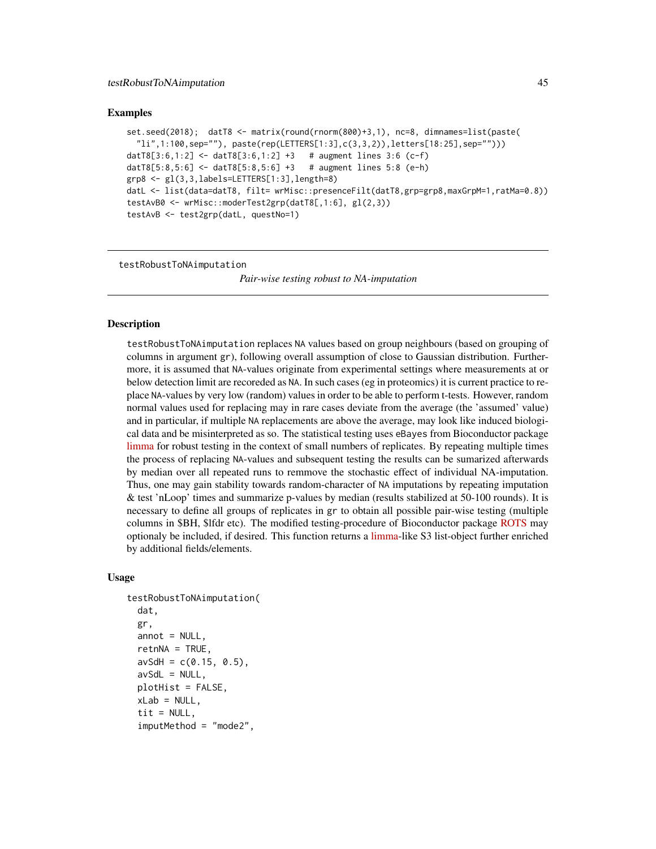#### <span id="page-44-0"></span>Examples

```
set.seed(2018); datT8 <- matrix(round(rnorm(800)+3,1), nc=8, dimnames=list(paste(
  i"li",1:100,sep=""), paste(rep(LETTERS[1:3],c(3,3,2)),letters[18:25],sep="")))
datT8[3:6,1:2] \le datT8[3:6,1:2] +3 # augment lines 3:6 (c-f)
datT8[5:8,5:6] <- datT8[5:8,5:6] +3 # augment lines 5:8 (e-h)
grp8 <- gl(3,3,labels=LETTERS[1:3],length=8)
datL <- list(data=datT8, filt= wrMisc::presenceFilt(datT8,grp=grp8,maxGrpM=1,ratMa=0.8))
testAvB0 <- wrMisc::moderTest2grp(datT8[,1:6], gl(2,3))
testAvB <- test2grp(datL, questNo=1)
```
<span id="page-44-1"></span>testRobustToNAimputation

*Pair-wise testing robust to NA-imputation*

#### Description

testRobustToNAimputation replaces NA values based on group neighbours (based on grouping of columns in argument gr), following overall assumption of close to Gaussian distribution. Furthermore, it is assumed that NA-values originate from experimental settings where measurements at or below detection limit are recoreded as NA. In such cases (eg in proteomics) it is current practice to replace NA-values by very low (random) values in order to be able to perform t-tests. However, random normal values used for replacing may in rare cases deviate from the average (the 'assumed' value) and in particular, if multiple NA replacements are above the average, may look like induced biological data and be misinterpreted as so. The statistical testing uses eBayes from Bioconductor package [limma](https://bioconductor.org/packages/release/bioc/html/limma.html) for robust testing in the context of small numbers of replicates. By repeating multiple times the process of replacing NA-values and subsequent testing the results can be sumarized afterwards by median over all repeated runs to remmove the stochastic effect of individual NA-imputation. Thus, one may gain stability towards random-character of NA imputations by repeating imputation & test 'nLoop' times and summarize p-values by median (results stabilized at 50-100 rounds). It is necessary to define all groups of replicates in gr to obtain all possible pair-wise testing (multiple columns in \$BH, \$lfdr etc). The modified testing-procedure of Bioconductor package [ROTS](https://bioconductor.org/packages/release/bioc/html/ROTS.html) may optionaly be included, if desired. This function returns a [limma-](https://bioconductor.org/packages/release/bioc/html/limma.html)like S3 list-object further enriched by additional fields/elements.

#### Usage

```
testRobustToNAimputation(
  dat,
  gr,
  annot = NULL,return <math>A = TRUE</math>,avSdH = c(0.15, 0.5),
  avSdL = NULL,
  plotHist = FALSE,
  xLab = NULL,tit = NULL,imputMethod = "mode2",
```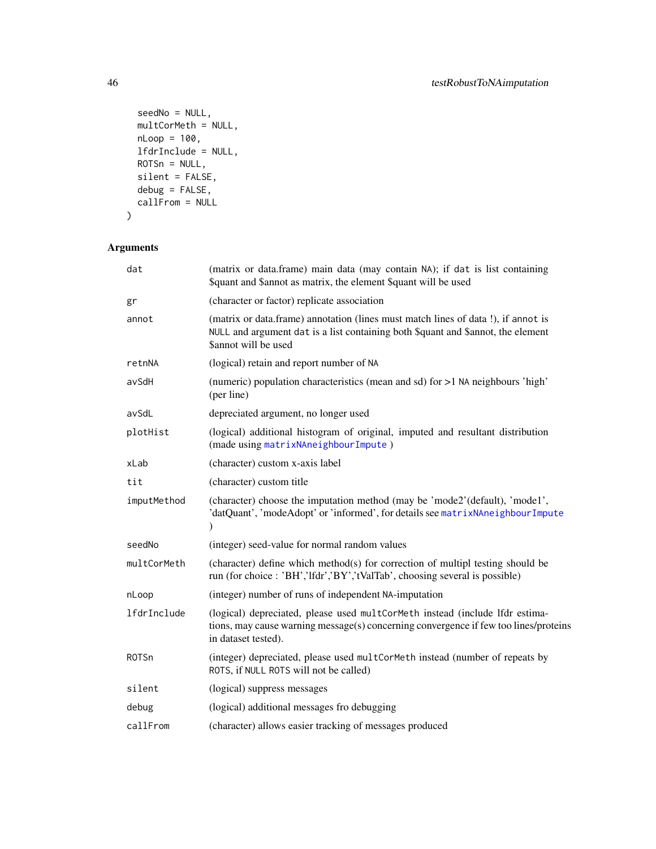```
seedNo = NULL,
 multCorMeth = NULL,
 nLoop = 100,lfdrInclude = NULL,
 ROTSn = NULL,silent = FALSE,
 debug = FALSE,
 callFrom = NULL
)
```

| dat          | (matrix or data.frame) main data (may contain NA); if dat is list containing<br>\$quant and \$annot as matrix, the element \$quant will be used                                               |
|--------------|-----------------------------------------------------------------------------------------------------------------------------------------------------------------------------------------------|
| gr           | (character or factor) replicate association                                                                                                                                                   |
| annot        | (matrix or data.frame) annotation (lines must match lines of data !), if annot is<br>NULL and argument dat is a list containing both \$quant and \$annot, the element<br>\$annot will be used |
| retnNA       | (logical) retain and report number of NA                                                                                                                                                      |
| avSdH        | (numeric) population characteristics (mean and sd) for >1 NA neighbours 'high'<br>(per line)                                                                                                  |
| avSdL        | depreciated argument, no longer used                                                                                                                                                          |
| plotHist     | (logical) additional histogram of original, imputed and resultant distribution<br>(made using matrixNAneighbourImpute)                                                                        |
| xLab         | (character) custom x-axis label                                                                                                                                                               |
| tit          | (character) custom title                                                                                                                                                                      |
| imputMethod  | (character) choose the imputation method (may be 'mode2'(default), 'mode1',<br>'datQuant', 'modeAdopt' or 'informed', for details see matrixNAneighbourImpute<br>$\lambda$                    |
| seedNo       | (integer) seed-value for normal random values                                                                                                                                                 |
| multCorMeth  | (character) define which method(s) for correction of multipl testing should be<br>run (for choice: 'BH','lfdr','BY','tValTab', choosing several is possible)                                  |
| nLoop        | (integer) number of runs of independent NA-imputation                                                                                                                                         |
| lfdrInclude  | (logical) depreciated, please used multCorMeth instead (include lfdr estima-<br>tions, may cause warning message(s) concerning convergence if few too lines/proteins<br>in dataset tested).   |
| <b>ROTSn</b> | (integer) depreciated, please used multCorMeth instead (number of repeats by<br>ROTS, if NULL ROTS will not be called)                                                                        |
| silent       | (logical) suppress messages                                                                                                                                                                   |
| debug        | (logical) additional messages fro debugging                                                                                                                                                   |
| callFrom     | (character) allows easier tracking of messages produced                                                                                                                                       |
|              |                                                                                                                                                                                               |

<span id="page-45-0"></span>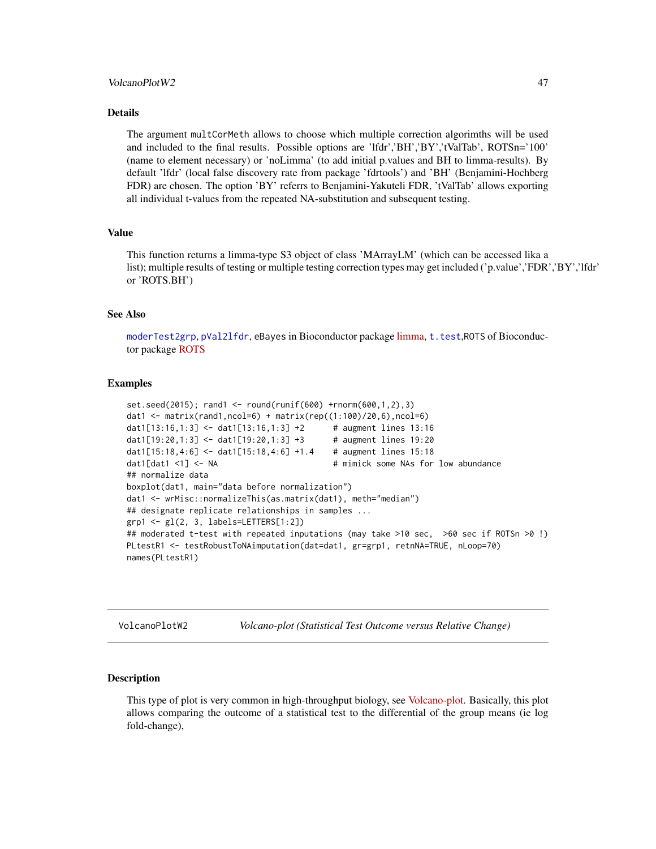#### <span id="page-46-0"></span>VolcanoPlotW2 47

#### Details

The argument multCorMeth allows to choose which multiple correction algorimths will be used and included to the final results. Possible options are 'lfdr','BH','BY','tValTab', ROTSn='100' (name to element necessary) or 'noLimma' (to add initial p.values and BH to limma-results). By default 'lfdr' (local false discovery rate from package 'fdrtools') and 'BH' (Benjamini-Hochberg FDR) are chosen. The option 'BY' referrs to Benjamini-Yakuteli FDR, 'tValTab' allows exporting all individual t-values from the repeated NA-substitution and subsequent testing.

#### Value

This function returns a limma-type S3 object of class 'MArrayLM' (which can be accessed lika a list); multiple results of testing or multiple testing correction types may get included ('p.value','FDR','BY','lfdr' or 'ROTS.BH')

#### See Also

[moderTest2grp](#page-0-0), [pVal2lfdr](#page-0-0), eBayes in Bioconductor package [limma,](https://bioconductor.org/packages/release/bioc/html/limma.html) [t.test](#page-0-0),ROTS of Bioconductor package [ROTS](https://bioconductor.org/packages/release/bioc/html/ROTS.html)

#### Examples

```
set.seed(2015); rand1 <- round(runif(600) +rnorm(600,1,2),3)
dat1 <- matrix(rand1,ncol=6) + matrix(rep((1:100)/20,6),ncol=6)
dat1[13:16,1:3] <- dat1[13:16,1:3] +2 # augment lines 13:16
dat1[19:20,1:3] <- dat1[19:20,1:3] +3 # augment lines 19:20
dat1[15:18,4:6] <- dat1[15:18,4:6] +1.4 # augment lines 15:18
dat1[dat1 <1] <- NA # mimick some NAs for low abundance
## normalize data
boxplot(dat1, main="data before normalization")
dat1 <- wrMisc::normalizeThis(as.matrix(dat1), meth="median")
## designate replicate relationships in samples ...
grp1 <- gl(2, 3, labels=LETTERS[1:2])
## moderated t-test with repeated inputations (may take >10 sec, >60 sec if ROTSn >0 !)
PLtestR1 <- testRobustToNAimputation(dat=dat1, gr=grp1, retnNA=TRUE, nLoop=70)
names(PLtestR1)
```
VolcanoPlotW2 *Volcano-plot (Statistical Test Outcome versus Relative Change)*

#### Description

This type of plot is very common in high-throughput biology, see [Volcano-plot.](https://en.wikipedia.org/wiki/Volcano_plot_(statistics)) Basically, this plot allows comparing the outcome of a statistical test to the differential of the group means (ie log fold-change),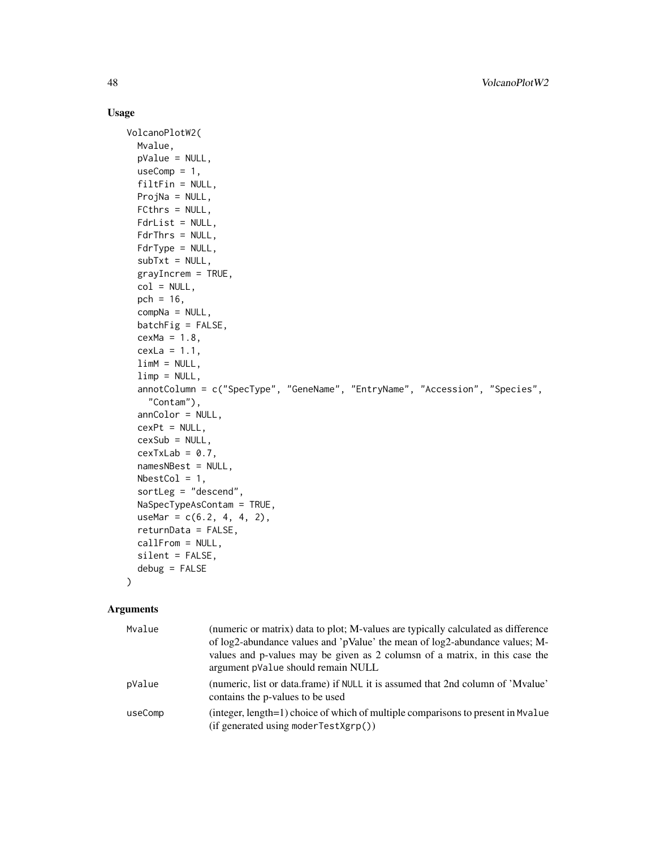#### Usage

```
VolcanoPlotW2(
 Mvalue,
  pValue = NULL,
  useComp = 1,
  filtFin = NULL,
 ProjNa = NULL,
  FCthrs = NULL,
  FdrList = NULL,
  FdrThrs = NULL,
  FdrType = NULL,
  subTxt = NULL,grayIncrem = TRUE,
 col = NULL,pch = 16,
  compNa = NULL,
 batchFig = FALSE,cexMa = 1.8,
  cexLa = 1.1,
  limM = NULL,limp = NULL,
  annotColumn = c("SpecType", "GeneName", "EntryName", "Accession", "Species",
    "Contam"),
  annColor = NULL,
  cexPt = NULL,cexSub = NULL,
  cexTxLab = 0.7,
  namesNBest = NULL,
 NbestCol = 1,
  sortLeg = "descend",
 NaSpecTypeAsContam = TRUE,
  useMar = c(6.2, 4, 4, 2),
  returnData = FALSE,
  callFrom = NULL,
  silent = FALSE,
  debug = FALSE
\mathcal{L}
```

| Mvalue  | (numeric or matrix) data to plot; M-values are typically calculated as difference<br>of log2-abundance values and 'pValue' the mean of log2-abundance values; M-<br>values and p-values may be given as 2 colums of a matrix, in this case the<br>argument pValue should remain NULL |
|---------|--------------------------------------------------------------------------------------------------------------------------------------------------------------------------------------------------------------------------------------------------------------------------------------|
| pValue  | (numeric, list or data.frame) if NULL it is assumed that 2nd column of 'Mvalue'<br>contains the p-values to be used                                                                                                                                                                  |
| useComp | (integer, length=1) choice of which of multiple comparisons to present in Myalue<br>(if generated using modernTestXgrp())                                                                                                                                                            |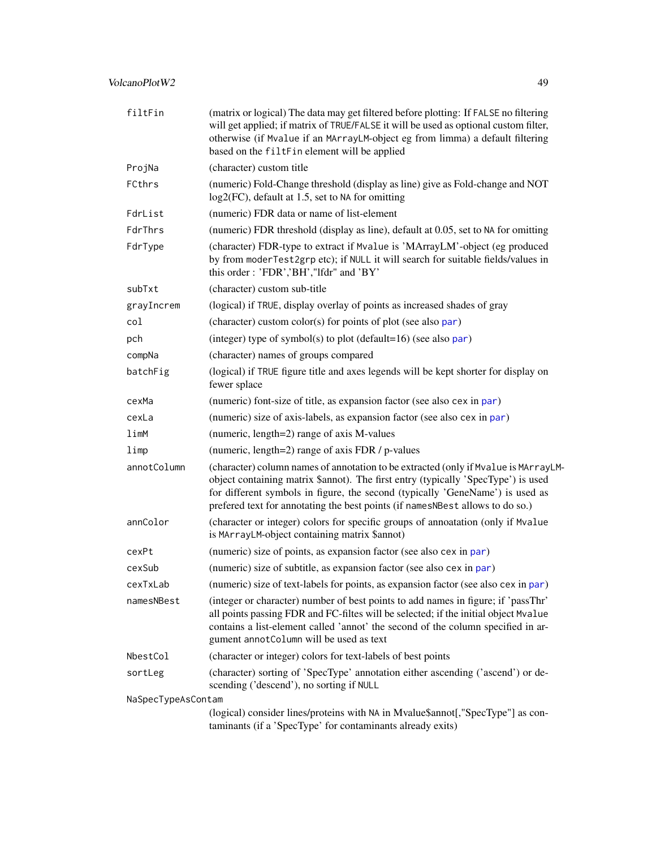#### <span id="page-48-0"></span>VolcanoPlotW2 49

| filtFin            | (matrix or logical) The data may get filtered before plotting: If FALSE no filtering<br>will get applied; if matrix of TRUE/FALSE it will be used as optional custom filter,<br>otherwise (if Mvalue if an MArrayLM-object eg from limma) a default filtering<br>based on the filtFin element will be applied                              |
|--------------------|--------------------------------------------------------------------------------------------------------------------------------------------------------------------------------------------------------------------------------------------------------------------------------------------------------------------------------------------|
| ProjNa             | (character) custom title                                                                                                                                                                                                                                                                                                                   |
| FCthrs             | (numeric) Fold-Change threshold (display as line) give as Fold-change and NOT<br>log2(FC), default at 1.5, set to NA for omitting                                                                                                                                                                                                          |
| FdrList            | (numeric) FDR data or name of list-element                                                                                                                                                                                                                                                                                                 |
| FdrThrs            | (numeric) FDR threshold (display as line), default at 0.05, set to NA for omitting                                                                                                                                                                                                                                                         |
| FdrType            | (character) FDR-type to extract if Mvalue is 'MArrayLM'-object (eg produced<br>by from moderTest2grp etc); if NULL it will search for suitable fields/values in<br>this order: 'FDR','BH',"lfdr" and 'BY'                                                                                                                                  |
| subTxt             | (character) custom sub-title                                                                                                                                                                                                                                                                                                               |
| grayIncrem         | (logical) if TRUE, display overlay of points as increased shades of gray                                                                                                                                                                                                                                                                   |
| col                | (character) custom color(s) for points of plot (see also par)                                                                                                                                                                                                                                                                              |
| pch                | (integer) type of symbol(s) to plot (default=16) (see also par)                                                                                                                                                                                                                                                                            |
| compNa             | (character) names of groups compared                                                                                                                                                                                                                                                                                                       |
| batchFig           | (logical) if TRUE figure title and axes legends will be kept shorter for display on<br>fewer splace                                                                                                                                                                                                                                        |
| cexMa              | (numeric) font-size of title, as expansion factor (see also cex in par)                                                                                                                                                                                                                                                                    |
| cexLa              | (numeric) size of axis-labels, as expansion factor (see also cex in par)                                                                                                                                                                                                                                                                   |
| limM               | (numeric, length=2) range of axis M-values                                                                                                                                                                                                                                                                                                 |
| limp               | (numeric, length=2) range of axis FDR / p-values                                                                                                                                                                                                                                                                                           |
| annotColumn        | (character) column names of annotation to be extracted (only if Mvalue is MArrayLM-<br>object containing matrix \$annot). The first entry (typically 'SpecType') is used<br>for different symbols in figure, the second (typically 'GeneName') is used as<br>prefered text for annotating the best points (if namesNBest allows to do so.) |
| annColor           | (character or integer) colors for specific groups of annoatation (only if Mvalue<br>is MArrayLM-object containing matrix \$annot)                                                                                                                                                                                                          |
| cexPt              | (numeric) size of points, as expansion factor (see also cex in par)                                                                                                                                                                                                                                                                        |
| cexSub             | (numeric) size of subtitle, as expansion factor (see also cex in par)                                                                                                                                                                                                                                                                      |
| cexTxLab           | (numeric) size of text-labels for points, as expansion factor (see also cex in par)                                                                                                                                                                                                                                                        |
| namesNBest         | (integer or character) number of best points to add names in figure; if 'passThr'<br>all points passing FDR and FC-filtes will be selected; if the initial object Mvalue<br>contains a list-element called 'annot' the second of the column specified in ar-<br>gument annotColumn will be used as text                                    |
| NbestCol           | (character or integer) colors for text-labels of best points                                                                                                                                                                                                                                                                               |
| sortLeg            | (character) sorting of 'SpecType' annotation either ascending ('ascend') or de-<br>scending ('descend'), no sorting if NULL                                                                                                                                                                                                                |
| NaSpecTypeAsContam |                                                                                                                                                                                                                                                                                                                                            |
|                    | (logical) consider lines/proteins with NA in Mvalue\$annot[,"SpecType"] as con-<br>taminants (if a 'SpecType' for contaminants already exits)                                                                                                                                                                                              |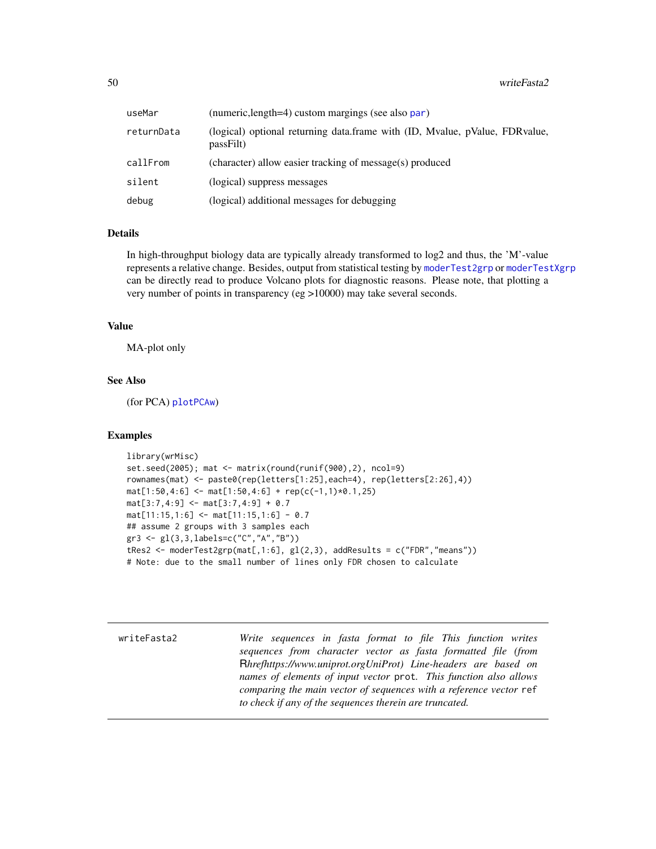<span id="page-49-0"></span>

| useMar     | (numeric, length=4) custom margings (see also par)                                       |
|------------|------------------------------------------------------------------------------------------|
| returnData | (logical) optional returning data.frame with (ID, Mvalue, pValue, FDRvalue,<br>passFilt) |
| callFrom   | (character) allow easier tracking of message(s) produced                                 |
| silent     | (logical) suppress messages                                                              |
| debug      | (logical) additional messages for debugging                                              |

#### **Details**

In high-throughput biology data are typically already transformed to log2 and thus, the 'M'-value represents a relative change. Besides, output from statistical testing by [moderTest2grp](#page-0-0) or [moderTestXgrp](#page-0-0) can be directly read to produce Volcano plots for diagnostic reasons. Please note, that plotting a very number of points in transparency (eg >10000) may take several seconds.

#### Value

MA-plot only

#### See Also

(for PCA) [plotPCAw](#page-0-0))

#### Examples

```
library(wrMisc)
set.seed(2005); mat <- matrix(round(runif(900),2), ncol=9)
rownames(mat) <- paste0(rep(letters[1:25],each=4), rep(letters[2:26],4))
mat[1:50, 4:6] \leftarrow mat[1:50, 4:6] + rep(c(-1,1)*0.1, 25)mat[3:7,4:9] <- mat[3:7,4:9] + 0.7
mat[11:15,1:6] <- mat[11:15,1:6] - 0.7
## assume 2 groups with 3 samples each
gr3 <- gl(3,3,labels=c("C","A","B"))
tRes2 <- moderTest2grp(mat[,1:6], gl(2,3), addResults = c("FDR","means"))
# Note: due to the small number of lines only FDR chosen to calculate
```
<span id="page-49-1"></span>writeFasta2 *Write sequences in fasta format to file This function writes sequences from character vector as fasta formatted file (from* R*hrefhttps://www.uniprot.orgUniProt) Line-headers are based on names of elements of input vector* prot*. This function also allows comparing the main vector of sequences with a reference vector* ref *to check if any of the sequences therein are truncated.*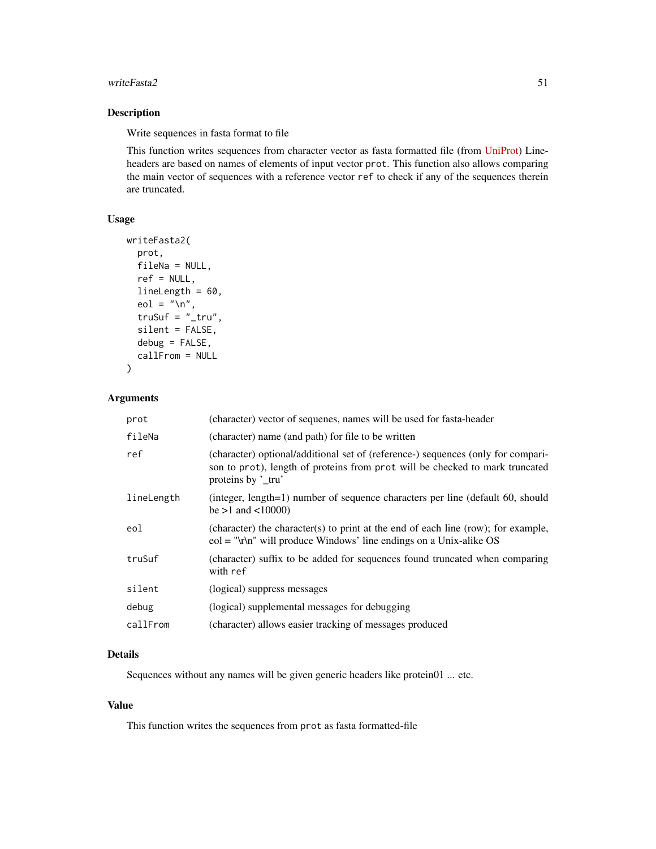#### writeFasta2 51

#### Description

Write sequences in fasta format to file

This function writes sequences from character vector as fasta formatted file (from [UniProt\)](https://www.uniprot.org) Lineheaders are based on names of elements of input vector prot. This function also allows comparing the main vector of sequences with a reference vector ref to check if any of the sequences therein are truncated.

#### Usage

```
writeFasta2(
 prot,
  fileNa = NULL,
  ref = NULL,lineLength = 60,
  eol = "\n\tan",
  truSuf = " _tru",silent = FALSE,
  debug = FALSE,
  callFrom = NULL
)
```
#### Arguments

| prot       | (character) vector of sequenes, names will be used for fasta-header                                                                                                                   |
|------------|---------------------------------------------------------------------------------------------------------------------------------------------------------------------------------------|
| fileNa     | (character) name (and path) for file to be written                                                                                                                                    |
| ref        | (character) optional/additional set of (reference-) sequences (only for compari-<br>son to prot), length of proteins from prot will be checked to mark truncated<br>proteins by 'tru' |
| lineLength | (integer, length=1) number of sequence characters per line (default 60, should<br>be $>1$ and $< 10000$ )                                                                             |
| eol        | (character) the character(s) to print at the end of each line (row); for example,<br>$eol = "l r \cdot l'$ will produce Windows' line endings on a Unix-alike OS                      |
| truSuf     | (character) suffix to be added for sequences found truncated when comparing<br>with ref                                                                                               |
| silent     | (logical) suppress messages                                                                                                                                                           |
| debug      | (logical) supplemental messages for debugging                                                                                                                                         |
| callFrom   | (character) allows easier tracking of messages produced                                                                                                                               |

#### Details

Sequences without any names will be given generic headers like protein01 ... etc.

#### Value

This function writes the sequences from prot as fasta formatted-file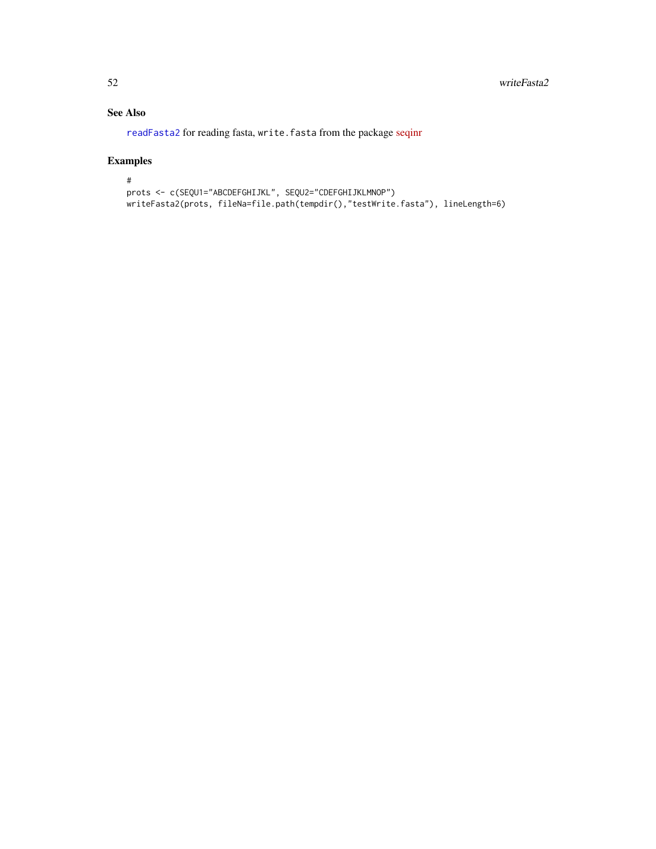#### <span id="page-51-0"></span>See Also

[readFasta2](#page-23-1) for reading fasta, write.fasta from the package [seqinr](https://CRAN.R-project.org/package=seqinr)

#### Examples

```
#
prots <- c(SEQU1="ABCDEFGHIJKL", SEQU2="CDEFGHIJKLMNOP")
writeFasta2(prots, fileNa=file.path(tempdir(),"testWrite.fasta"), lineLength=6)
```